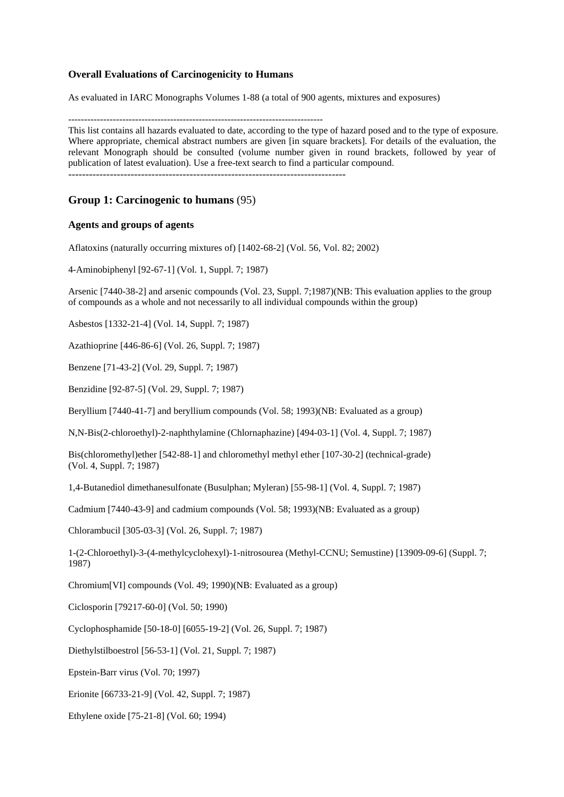## **Overall Evaluations of Carcinogenicity to Humans**

As evaluated in IARC Monographs Volumes 1-88 (a total of 900 agents, mixtures and exposures)

--------------------------------------------------------------------------------

This list contains all hazards evaluated to date, according to the type of hazard posed and to the type of exposure. Where appropriate, chemical abstract numbers are given [in square brackets]. For details of the evaluation, the relevant Monograph should be consulted (volume number given in round brackets, followed by year of publication of latest evaluation). Use a free-text search to find a particular compound.

## **Group 1: Carcinogenic to humans** (95)

### **Agents and groups of agents**

Aflatoxins (naturally occurring mixtures of) [1402-68-2] (Vol. 56, Vol. 82; 2002)

4-Aminobiphenyl [92-67-1] (Vol. 1, Suppl. 7; 1987)

Arsenic [7440-38-2] and arsenic compounds (Vol. 23, Suppl. 7;1987)(NB: This evaluation applies to the group of compounds as a whole and not necessarily to all individual compounds within the group)

Asbestos [1332-21-4] (Vol. 14, Suppl. 7; 1987)

Azathioprine [446-86-6] (Vol. 26, Suppl. 7; 1987)

Benzene [71-43-2] (Vol. 29, Suppl. 7; 1987)

Benzidine [92-87-5] (Vol. 29, Suppl. 7; 1987)

Beryllium [7440-41-7] and beryllium compounds (Vol. 58; 1993)(NB: Evaluated as a group)

N,N-Bis(2-chloroethyl)-2-naphthylamine (Chlornaphazine) [494-03-1] (Vol. 4, Suppl. 7; 1987)

Bis(chloromethyl)ether [542-88-1] and chloromethyl methyl ether [107-30-2] (technical-grade) (Vol. 4, Suppl. 7; 1987)

1,4-Butanediol dimethanesulfonate (Busulphan; Myleran) [55-98-1] (Vol. 4, Suppl. 7; 1987)

Cadmium [7440-43-9] and cadmium compounds (Vol. 58; 1993)(NB: Evaluated as a group)

Chlorambucil [305-03-3] (Vol. 26, Suppl. 7; 1987)

1-(2-Chloroethyl)-3-(4-methylcyclohexyl)-1-nitrosourea (Methyl-CCNU; Semustine) [13909-09-6] (Suppl. 7; 1987)

Chromium[VI] compounds (Vol. 49; 1990)(NB: Evaluated as a group)

Ciclosporin [79217-60-0] (Vol. 50; 1990)

Cyclophosphamide [50-18-0] [6055-19-2] (Vol. 26, Suppl. 7; 1987)

Diethylstilboestrol [56-53-1] (Vol. 21, Suppl. 7; 1987)

Epstein-Barr virus (Vol. 70; 1997)

Erionite [66733-21-9] (Vol. 42, Suppl. 7; 1987)

Ethylene oxide [75-21-8] (Vol. 60; 1994)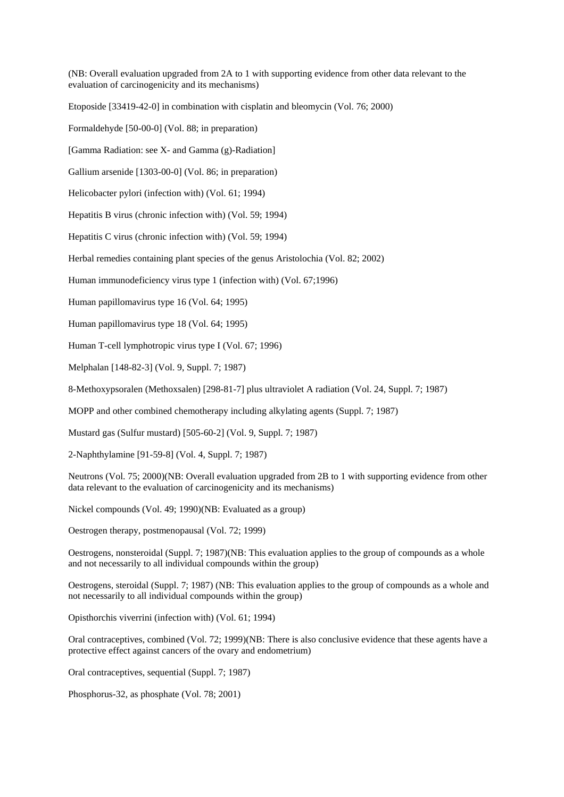(NB: Overall evaluation upgraded from 2A to 1 with supporting evidence from other data relevant to the evaluation of carcinogenicity and its mechanisms)

Etoposide [33419-42-0] in combination with cisplatin and bleomycin (Vol. 76; 2000)

Formaldehyde [50-00-0] (Vol. 88; in preparation)

[Gamma Radiation: see X- and Gamma (g)-Radiation]

Gallium arsenide [1303-00-0] (Vol. 86; in preparation)

Helicobacter pylori (infection with) (Vol. 61; 1994)

Hepatitis B virus (chronic infection with) (Vol. 59; 1994)

Hepatitis C virus (chronic infection with) (Vol. 59; 1994)

Herbal remedies containing plant species of the genus Aristolochia (Vol. 82; 2002)

Human immunodeficiency virus type 1 (infection with) (Vol. 67;1996)

Human papillomavirus type 16 (Vol. 64; 1995)

Human papillomavirus type 18 (Vol. 64; 1995)

Human T-cell lymphotropic virus type I (Vol. 67; 1996)

Melphalan [148-82-3] (Vol. 9, Suppl. 7; 1987)

8-Methoxypsoralen (Methoxsalen) [298-81-7] plus ultraviolet A radiation (Vol. 24, Suppl. 7; 1987)

MOPP and other combined chemotherapy including alkylating agents (Suppl. 7; 1987)

Mustard gas (Sulfur mustard) [505-60-2] (Vol. 9, Suppl. 7; 1987)

2-Naphthylamine [91-59-8] (Vol. 4, Suppl. 7; 1987)

Neutrons (Vol. 75; 2000)(NB: Overall evaluation upgraded from 2B to 1 with supporting evidence from other data relevant to the evaluation of carcinogenicity and its mechanisms)

Nickel compounds (Vol. 49; 1990)(NB: Evaluated as a group)

Oestrogen therapy, postmenopausal (Vol. 72; 1999)

Oestrogens, nonsteroidal (Suppl. 7; 1987)(NB: This evaluation applies to the group of compounds as a whole and not necessarily to all individual compounds within the group)

Oestrogens, steroidal (Suppl. 7; 1987) (NB: This evaluation applies to the group of compounds as a whole and not necessarily to all individual compounds within the group)

Opisthorchis viverrini (infection with) (Vol. 61; 1994)

Oral contraceptives, combined (Vol. 72; 1999)(NB: There is also conclusive evidence that these agents have a protective effect against cancers of the ovary and endometrium)

Oral contraceptives, sequential (Suppl. 7; 1987)

Phosphorus-32, as phosphate (Vol. 78; 2001)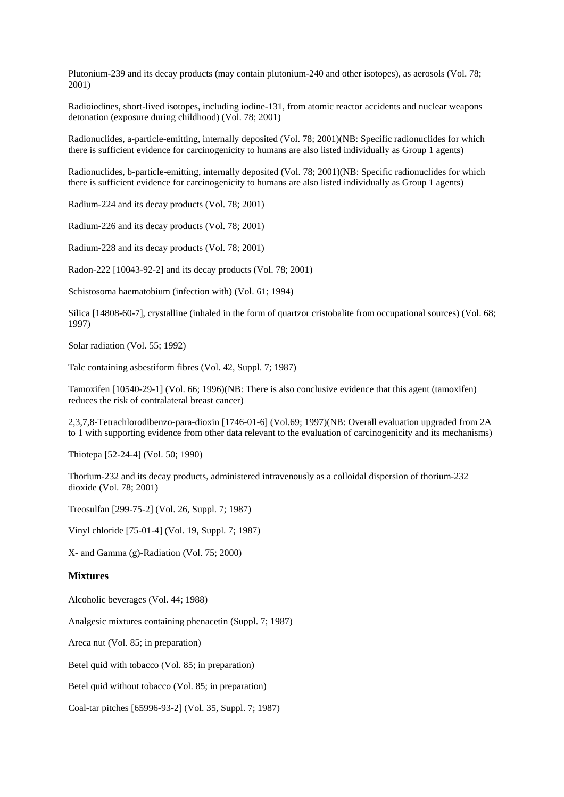Plutonium-239 and its decay products (may contain plutonium-240 and other isotopes), as aerosols (Vol. 78; 2001)

Radioiodines, short-lived isotopes, including iodine-131, from atomic reactor accidents and nuclear weapons detonation (exposure during childhood) (Vol. 78; 2001)

Radionuclides, a-particle-emitting, internally deposited (Vol. 78; 2001)(NB: Specific radionuclides for which there is sufficient evidence for carcinogenicity to humans are also listed individually as Group 1 agents)

Radionuclides, b-particle-emitting, internally deposited (Vol. 78; 2001)(NB: Specific radionuclides for which there is sufficient evidence for carcinogenicity to humans are also listed individually as Group 1 agents)

Radium-224 and its decay products (Vol. 78; 2001)

Radium-226 and its decay products (Vol. 78; 2001)

Radium-228 and its decay products (Vol. 78; 2001)

Radon-222 [10043-92-2] and its decay products (Vol. 78; 2001)

Schistosoma haematobium (infection with) (Vol. 61; 1994)

Silica [14808-60-7], crystalline (inhaled in the form of quartzor cristobalite from occupational sources) (Vol. 68; 1997)

Solar radiation (Vol. 55; 1992)

Talc containing asbestiform fibres (Vol. 42, Suppl. 7; 1987)

Tamoxifen [10540-29-1] (Vol. 66; 1996)(NB: There is also conclusive evidence that this agent (tamoxifen) reduces the risk of contralateral breast cancer)

2,3,7,8-Tetrachlorodibenzo-para-dioxin [1746-01-6] (Vol.69; 1997)(NB: Overall evaluation upgraded from 2A to 1 with supporting evidence from other data relevant to the evaluation of carcinogenicity and its mechanisms)

Thiotepa [52-24-4] (Vol. 50; 1990)

Thorium-232 and its decay products, administered intravenously as a colloidal dispersion of thorium-232 dioxide (Vol. 78; 2001)

Treosulfan [299-75-2] (Vol. 26, Suppl. 7; 1987)

Vinyl chloride [75-01-4] (Vol. 19, Suppl. 7; 1987)

X- and Gamma (g)-Radiation (Vol. 75; 2000)

#### **Mixtures**

Alcoholic beverages (Vol. 44; 1988)

Analgesic mixtures containing phenacetin (Suppl. 7; 1987)

Areca nut (Vol. 85; in preparation)

Betel quid with tobacco (Vol. 85; in preparation)

Betel quid without tobacco (Vol. 85; in preparation)

Coal-tar pitches [65996-93-2] (Vol. 35, Suppl. 7; 1987)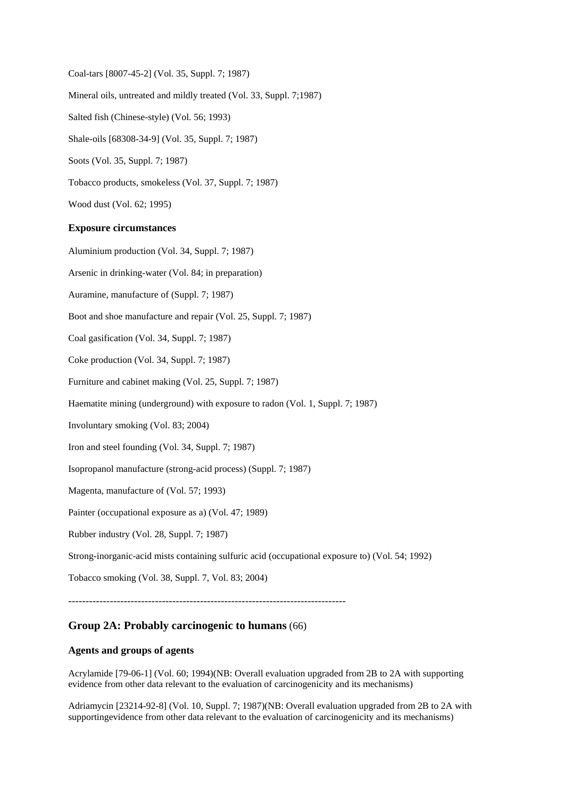Coal-tars [8007-45-2] (Vol. 35, Suppl. 7; 1987) Mineral oils, untreated and mildly treated (Vol. 33, Suppl. 7;1987) Salted fish (Chinese-style) (Vol. 56; 1993) Shale-oils [68308-34-9] (Vol. 35, Suppl. 7; 1987) Soots (Vol. 35, Suppl. 7; 1987) Tobacco products, smokeless (Vol. 37, Suppl. 7; 1987)

Wood dust (Vol. 62; 1995)

#### **Exposure circumstances**

Aluminium production (Vol. 34, Suppl. 7; 1987)

Arsenic in drinking-water (Vol. 84; in preparation)

Auramine, manufacture of (Suppl. 7; 1987)

Boot and shoe manufacture and repair (Vol. 25, Suppl. 7; 1987)

Coal gasification (Vol. 34, Suppl. 7; 1987)

Coke production (Vol. 34, Suppl. 7; 1987)

Furniture and cabinet making (Vol. 25, Suppl. 7; 1987)

Haematite mining (underground) with exposure to radon (Vol. 1, Suppl. 7; 1987)

Involuntary smoking (Vol. 83; 2004)

Iron and steel founding (Vol. 34, Suppl. 7; 1987)

Isopropanol manufacture (strong-acid process) (Suppl. 7; 1987)

Magenta, manufacture of (Vol. 57; 1993)

Painter (occupational exposure as a) (Vol. 47; 1989)

Rubber industry (Vol. 28, Suppl. 7; 1987)

Strong-inorganic-acid mists containing sulfuric acid (occupational exposure to) (Vol. 54; 1992)

Tobacco smoking (Vol. 38, Suppl. 7, Vol. 83; 2004)

--------------------------------------------------------------------------------

# **Group 2A: Probably carcinogenic to humans** (66)

## **Agents and groups of agents**

Acrylamide [79-06-1] (Vol. 60; 1994)(NB: Overall evaluation upgraded from 2B to 2A with supporting evidence from other data relevant to the evaluation of carcinogenicity and its mechanisms)

Adriamycin [23214-92-8] (Vol. 10, Suppl. 7; 1987)(NB: Overall evaluation upgraded from 2B to 2A with supportingevidence from other data relevant to the evaluation of carcinogenicity and its mechanisms)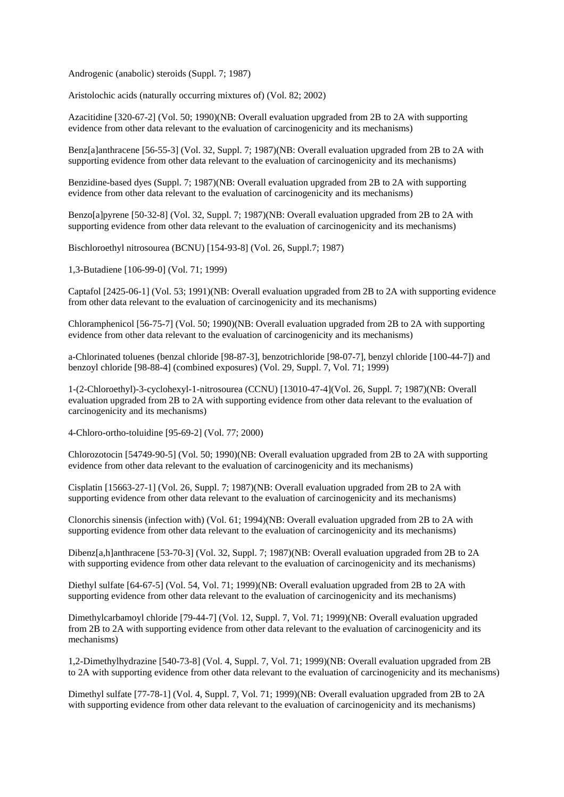Androgenic (anabolic) steroids (Suppl. 7; 1987)

Aristolochic acids (naturally occurring mixtures of) (Vol. 82; 2002)

Azacitidine [320-67-2] (Vol. 50; 1990)(NB: Overall evaluation upgraded from 2B to 2A with supporting evidence from other data relevant to the evaluation of carcinogenicity and its mechanisms)

Benz[a]anthracene [56-55-3] (Vol. 32, Suppl. 7; 1987)(NB: Overall evaluation upgraded from 2B to 2A with supporting evidence from other data relevant to the evaluation of carcinogenicity and its mechanisms)

Benzidine-based dyes (Suppl. 7; 1987)(NB: Overall evaluation upgraded from 2B to 2A with supporting evidence from other data relevant to the evaluation of carcinogenicity and its mechanisms)

Benzo[a]pyrene [50-32-8] (Vol. 32, Suppl. 7; 1987)(NB: Overall evaluation upgraded from 2B to 2A with supporting evidence from other data relevant to the evaluation of carcinogenicity and its mechanisms)

Bischloroethyl nitrosourea (BCNU) [154-93-8] (Vol. 26, Suppl.7; 1987)

1,3-Butadiene [106-99-0] (Vol. 71; 1999)

Captafol [2425-06-1] (Vol. 53; 1991)(NB: Overall evaluation upgraded from 2B to 2A with supporting evidence from other data relevant to the evaluation of carcinogenicity and its mechanisms)

Chloramphenicol [56-75-7] (Vol. 50; 1990)(NB: Overall evaluation upgraded from 2B to 2A with supporting evidence from other data relevant to the evaluation of carcinogenicity and its mechanisms)

a-Chlorinated toluenes (benzal chloride [98-87-3], benzotrichloride [98-07-7], benzyl chloride [100-44-7]) and benzoyl chloride [98-88-4] (combined exposures) (Vol. 29, Suppl. 7, Vol. 71; 1999)

1-(2-Chloroethyl)-3-cyclohexyl-1-nitrosourea (CCNU) [13010-47-4](Vol. 26, Suppl. 7; 1987)(NB: Overall evaluation upgraded from 2B to 2A with supporting evidence from other data relevant to the evaluation of carcinogenicity and its mechanisms)

4-Chloro-ortho-toluidine [95-69-2] (Vol. 77; 2000)

Chlorozotocin [54749-90-5] (Vol. 50; 1990)(NB: Overall evaluation upgraded from 2B to 2A with supporting evidence from other data relevant to the evaluation of carcinogenicity and its mechanisms)

Cisplatin [15663-27-1] (Vol. 26, Suppl. 7; 1987)(NB: Overall evaluation upgraded from 2B to 2A with supporting evidence from other data relevant to the evaluation of carcinogenicity and its mechanisms)

Clonorchis sinensis (infection with) (Vol. 61; 1994)(NB: Overall evaluation upgraded from 2B to 2A with supporting evidence from other data relevant to the evaluation of carcinogenicity and its mechanisms)

Dibenz[a,h]anthracene [53-70-3] (Vol. 32, Suppl. 7; 1987)(NB: Overall evaluation upgraded from 2B to 2A with supporting evidence from other data relevant to the evaluation of carcinogenicity and its mechanisms)

Diethyl sulfate [64-67-5] (Vol. 54, Vol. 71; 1999)(NB: Overall evaluation upgraded from 2B to 2A with supporting evidence from other data relevant to the evaluation of carcinogenicity and its mechanisms)

Dimethylcarbamoyl chloride [79-44-7] (Vol. 12, Suppl. 7, Vol. 71; 1999)(NB: Overall evaluation upgraded from 2B to 2A with supporting evidence from other data relevant to the evaluation of carcinogenicity and its mechanisms)

1,2-Dimethylhydrazine [540-73-8] (Vol. 4, Suppl. 7, Vol. 71; 1999)(NB: Overall evaluation upgraded from 2B to 2A with supporting evidence from other data relevant to the evaluation of carcinogenicity and its mechanisms)

Dimethyl sulfate [77-78-1] (Vol. 4, Suppl. 7, Vol. 71; 1999)(NB: Overall evaluation upgraded from 2B to 2A with supporting evidence from other data relevant to the evaluation of carcinogenicity and its mechanisms)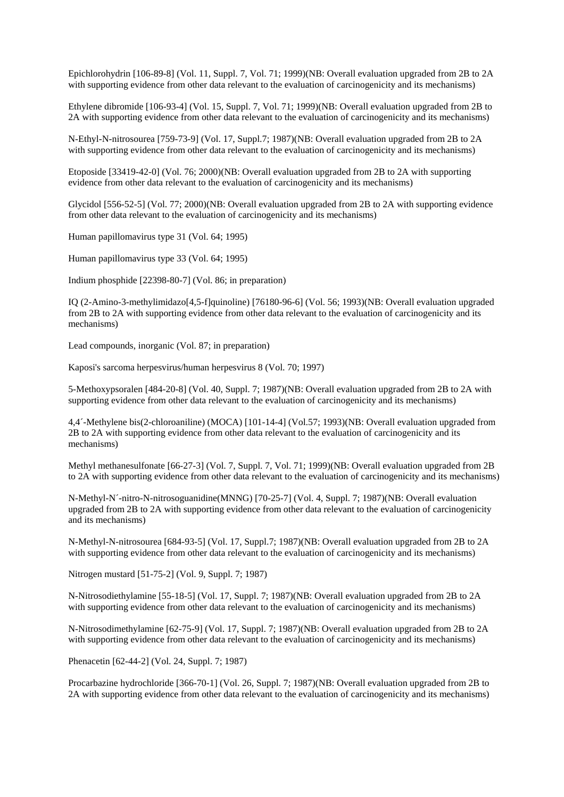Epichlorohydrin [106-89-8] (Vol. 11, Suppl. 7, Vol. 71; 1999)(NB: Overall evaluation upgraded from 2B to 2A with supporting evidence from other data relevant to the evaluation of carcinogenicity and its mechanisms)

Ethylene dibromide [106-93-4] (Vol. 15, Suppl. 7, Vol. 71; 1999)(NB: Overall evaluation upgraded from 2B to 2A with supporting evidence from other data relevant to the evaluation of carcinogenicity and its mechanisms)

N-Ethyl-N-nitrosourea [759-73-9] (Vol. 17, Suppl.7; 1987)(NB: Overall evaluation upgraded from 2B to 2A with supporting evidence from other data relevant to the evaluation of carcinogenicity and its mechanisms)

Etoposide [33419-42-0] (Vol. 76; 2000)(NB: Overall evaluation upgraded from 2B to 2A with supporting evidence from other data relevant to the evaluation of carcinogenicity and its mechanisms)

Glycidol [556-52-5] (Vol. 77; 2000)(NB: Overall evaluation upgraded from 2B to 2A with supporting evidence from other data relevant to the evaluation of carcinogenicity and its mechanisms)

Human papillomavirus type 31 (Vol. 64; 1995)

Human papillomavirus type 33 (Vol. 64; 1995)

Indium phosphide [22398-80-7] (Vol. 86; in preparation)

IQ (2-Amino-3-methylimidazo[4,5-f]quinoline) [76180-96-6] (Vol. 56; 1993)(NB: Overall evaluation upgraded from 2B to 2A with supporting evidence from other data relevant to the evaluation of carcinogenicity and its mechanisms)

Lead compounds, inorganic (Vol. 87; in preparation)

Kaposi's sarcoma herpesvirus/human herpesvirus 8 (Vol. 70; 1997)

5-Methoxypsoralen [484-20-8] (Vol. 40, Suppl. 7; 1987)(NB: Overall evaluation upgraded from 2B to 2A with supporting evidence from other data relevant to the evaluation of carcinogenicity and its mechanisms)

4,4´-Methylene bis(2-chloroaniline) (MOCA) [101-14-4] (Vol.57; 1993)(NB: Overall evaluation upgraded from 2B to 2A with supporting evidence from other data relevant to the evaluation of carcinogenicity and its mechanisms)

Methyl methanesulfonate [66-27-3] (Vol. 7, Suppl. 7, Vol. 71; 1999)(NB: Overall evaluation upgraded from 2B to 2A with supporting evidence from other data relevant to the evaluation of carcinogenicity and its mechanisms)

N-Methyl-N´-nitro-N-nitrosoguanidine(MNNG) [70-25-7] (Vol. 4, Suppl. 7; 1987)(NB: Overall evaluation upgraded from 2B to 2A with supporting evidence from other data relevant to the evaluation of carcinogenicity and its mechanisms)

N-Methyl-N-nitrosourea [684-93-5] (Vol. 17, Suppl.7; 1987)(NB: Overall evaluation upgraded from 2B to 2A with supporting evidence from other data relevant to the evaluation of carcinogenicity and its mechanisms)

Nitrogen mustard [51-75-2] (Vol. 9, Suppl. 7; 1987)

N-Nitrosodiethylamine [55-18-5] (Vol. 17, Suppl. 7; 1987)(NB: Overall evaluation upgraded from 2B to 2A with supporting evidence from other data relevant to the evaluation of carcinogenicity and its mechanisms)

N-Nitrosodimethylamine [62-75-9] (Vol. 17, Suppl. 7; 1987)(NB: Overall evaluation upgraded from 2B to 2A with supporting evidence from other data relevant to the evaluation of carcinogenicity and its mechanisms)

Phenacetin [62-44-2] (Vol. 24, Suppl. 7; 1987)

Procarbazine hydrochloride [366-70-1] (Vol. 26, Suppl. 7; 1987)(NB: Overall evaluation upgraded from 2B to 2A with supporting evidence from other data relevant to the evaluation of carcinogenicity and its mechanisms)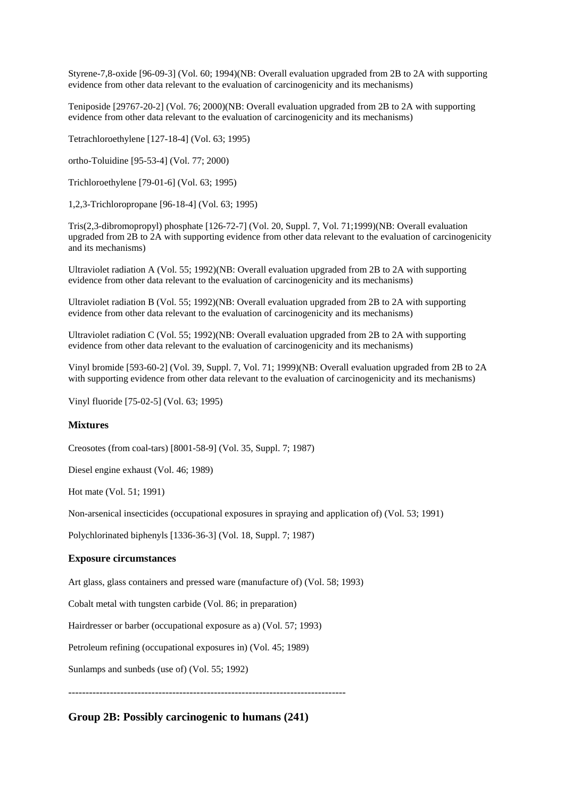Styrene-7,8-oxide [96-09-3] (Vol. 60; 1994)(NB: Overall evaluation upgraded from 2B to 2A with supporting evidence from other data relevant to the evaluation of carcinogenicity and its mechanisms)

Teniposide [29767-20-2] (Vol. 76; 2000)(NB: Overall evaluation upgraded from 2B to 2A with supporting evidence from other data relevant to the evaluation of carcinogenicity and its mechanisms)

Tetrachloroethylene [127-18-4] (Vol. 63; 1995)

ortho-Toluidine [95-53-4] (Vol. 77; 2000)

Trichloroethylene [79-01-6] (Vol. 63; 1995)

1,2,3-Trichloropropane [96-18-4] (Vol. 63; 1995)

Tris(2,3-dibromopropyl) phosphate [126-72-7] (Vol. 20, Suppl. 7, Vol. 71;1999)(NB: Overall evaluation upgraded from 2B to 2A with supporting evidence from other data relevant to the evaluation of carcinogenicity and its mechanisms)

Ultraviolet radiation A (Vol. 55; 1992)(NB: Overall evaluation upgraded from 2B to 2A with supporting evidence from other data relevant to the evaluation of carcinogenicity and its mechanisms)

Ultraviolet radiation B (Vol. 55; 1992)(NB: Overall evaluation upgraded from 2B to 2A with supporting evidence from other data relevant to the evaluation of carcinogenicity and its mechanisms)

Ultraviolet radiation C (Vol. 55; 1992)(NB: Overall evaluation upgraded from 2B to 2A with supporting evidence from other data relevant to the evaluation of carcinogenicity and its mechanisms)

Vinyl bromide [593-60-2] (Vol. 39, Suppl. 7, Vol. 71; 1999)(NB: Overall evaluation upgraded from 2B to 2A with supporting evidence from other data relevant to the evaluation of carcinogenicity and its mechanisms)

Vinyl fluoride [75-02-5] (Vol. 63; 1995)

#### **Mixtures**

Creosotes (from coal-tars) [8001-58-9] (Vol. 35, Suppl. 7; 1987)

Diesel engine exhaust (Vol. 46; 1989)

Hot mate (Vol. 51; 1991)

Non-arsenical insecticides (occupational exposures in spraying and application of) (Vol. 53; 1991)

Polychlorinated biphenyls [1336-36-3] (Vol. 18, Suppl. 7; 1987)

### **Exposure circumstances**

Art glass, glass containers and pressed ware (manufacture of) (Vol. 58; 1993)

Cobalt metal with tungsten carbide (Vol. 86; in preparation)

Hairdresser or barber (occupational exposure as a) (Vol. 57; 1993)

Petroleum refining (occupational exposures in) (Vol. 45; 1989)

Sunlamps and sunbeds (use of) (Vol. 55; 1992)

--------------------------------------------------------------------------------

**Group 2B: Possibly carcinogenic to humans (241)**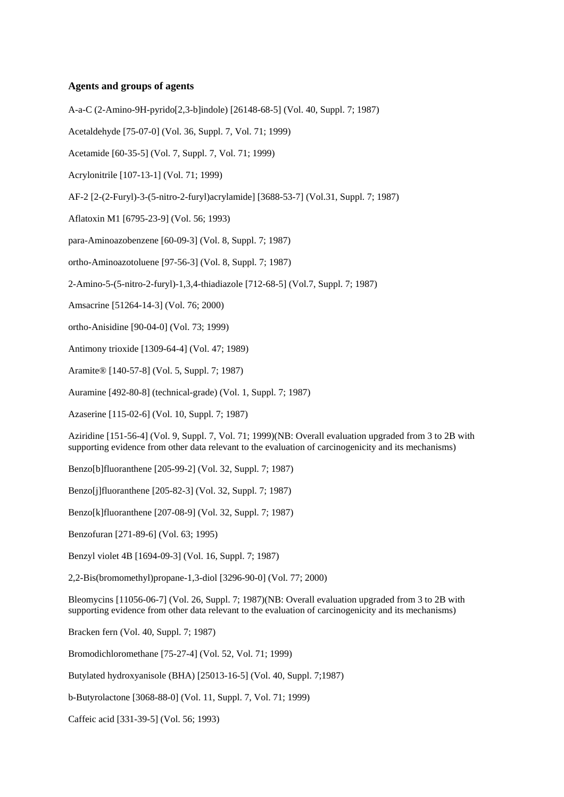## **Agents and groups of agents**

A-a-C (2-Amino-9H-pyrido[2,3-b]indole) [26148-68-5] (Vol. 40, Suppl. 7; 1987)

Acetaldehyde [75-07-0] (Vol. 36, Suppl. 7, Vol. 71; 1999)

Acetamide [60-35-5] (Vol. 7, Suppl. 7, Vol. 71; 1999)

Acrylonitrile [107-13-1] (Vol. 71; 1999)

AF-2 [2-(2-Furyl)-3-(5-nitro-2-furyl)acrylamide] [3688-53-7] (Vol.31, Suppl. 7; 1987)

Aflatoxin M1 [6795-23-9] (Vol. 56; 1993)

para-Aminoazobenzene [60-09-3] (Vol. 8, Suppl. 7; 1987)

ortho-Aminoazotoluene [97-56-3] (Vol. 8, Suppl. 7; 1987)

2-Amino-5-(5-nitro-2-furyl)-1,3,4-thiadiazole [712-68-5] (Vol.7, Suppl. 7; 1987)

Amsacrine [51264-14-3] (Vol. 76; 2000)

ortho-Anisidine [90-04-0] (Vol. 73; 1999)

Antimony trioxide [1309-64-4] (Vol. 47; 1989)

Aramite® [140-57-8] (Vol. 5, Suppl. 7; 1987)

Auramine [492-80-8] (technical-grade) (Vol. 1, Suppl. 7; 1987)

Azaserine [115-02-6] (Vol. 10, Suppl. 7; 1987)

Aziridine [151-56-4] (Vol. 9, Suppl. 7, Vol. 71; 1999)(NB: Overall evaluation upgraded from 3 to 2B with supporting evidence from other data relevant to the evaluation of carcinogenicity and its mechanisms)

Benzo[b]fluoranthene [205-99-2] (Vol. 32, Suppl. 7; 1987)

Benzo[j]fluoranthene [205-82-3] (Vol. 32, Suppl. 7; 1987)

Benzo[k]fluoranthene [207-08-9] (Vol. 32, Suppl. 7; 1987)

Benzofuran [271-89-6] (Vol. 63; 1995)

Benzyl violet 4B [1694-09-3] (Vol. 16, Suppl. 7; 1987)

2,2-Bis(bromomethyl)propane-1,3-diol [3296-90-0] (Vol. 77; 2000)

Bleomycins [11056-06-7] (Vol. 26, Suppl. 7; 1987)(NB: Overall evaluation upgraded from 3 to 2B with supporting evidence from other data relevant to the evaluation of carcinogenicity and its mechanisms)

Bracken fern (Vol. 40, Suppl. 7; 1987)

Bromodichloromethane [75-27-4] (Vol. 52, Vol. 71; 1999)

Butylated hydroxyanisole (BHA) [25013-16-5] (Vol. 40, Suppl. 7;1987)

b-Butyrolactone [3068-88-0] (Vol. 11, Suppl. 7, Vol. 71; 1999)

Caffeic acid [331-39-5] (Vol. 56; 1993)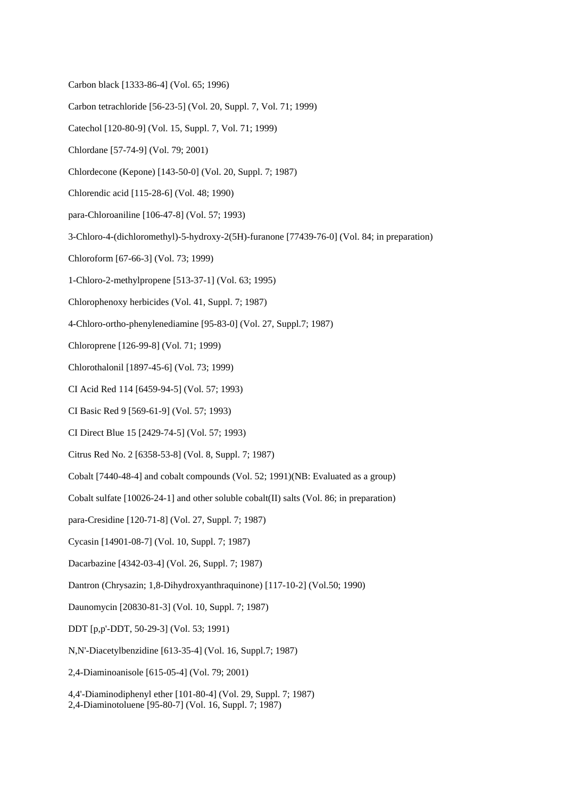- Carbon black [1333-86-4] (Vol. 65; 1996)
- Carbon tetrachloride [56-23-5] (Vol. 20, Suppl. 7, Vol. 71; 1999)
- Catechol [120-80-9] (Vol. 15, Suppl. 7, Vol. 71; 1999)
- Chlordane [57-74-9] (Vol. 79; 2001)
- Chlordecone (Kepone) [143-50-0] (Vol. 20, Suppl. 7; 1987)
- Chlorendic acid [115-28-6] (Vol. 48; 1990)
- para-Chloroaniline [106-47-8] (Vol. 57; 1993)
- 3-Chloro-4-(dichloromethyl)-5-hydroxy-2(5H)-furanone [77439-76-0] (Vol. 84; in preparation)
- Chloroform [67-66-3] (Vol. 73; 1999)
- 1-Chloro-2-methylpropene [513-37-1] (Vol. 63; 1995)
- Chlorophenoxy herbicides (Vol. 41, Suppl. 7; 1987)
- 4-Chloro-ortho-phenylenediamine [95-83-0] (Vol. 27, Suppl.7; 1987)
- Chloroprene [126-99-8] (Vol. 71; 1999)
- Chlorothalonil [1897-45-6] (Vol. 73; 1999)
- CI Acid Red 114 [6459-94-5] (Vol. 57; 1993)
- CI Basic Red 9 [569-61-9] (Vol. 57; 1993)
- CI Direct Blue 15 [2429-74-5] (Vol. 57; 1993)
- Citrus Red No. 2 [6358-53-8] (Vol. 8, Suppl. 7; 1987)
- Cobalt [7440-48-4] and cobalt compounds (Vol. 52; 1991)(NB: Evaluated as a group)
- Cobalt sulfate [10026-24-1] and other soluble cobalt(II) salts (Vol. 86; in preparation)
- para-Cresidine [120-71-8] (Vol. 27, Suppl. 7; 1987)
- Cycasin [14901-08-7] (Vol. 10, Suppl. 7; 1987)
- Dacarbazine [4342-03-4] (Vol. 26, Suppl. 7; 1987)
- Dantron (Chrysazin; 1,8-Dihydroxyanthraquinone) [117-10-2] (Vol.50; 1990)
- Daunomycin [20830-81-3] (Vol. 10, Suppl. 7; 1987)
- DDT [p,p'-DDT, 50-29-3] (Vol. 53; 1991)
- N,N'-Diacetylbenzidine [613-35-4] (Vol. 16, Suppl.7; 1987)
- 2,4-Diaminoanisole [615-05-4] (Vol. 79; 2001)
- 4,4'-Diaminodiphenyl ether [101-80-4] (Vol. 29, Suppl. 7; 1987)
- 2,4-Diaminotoluene [95-80-7] (Vol. 16, Suppl. 7; 1987)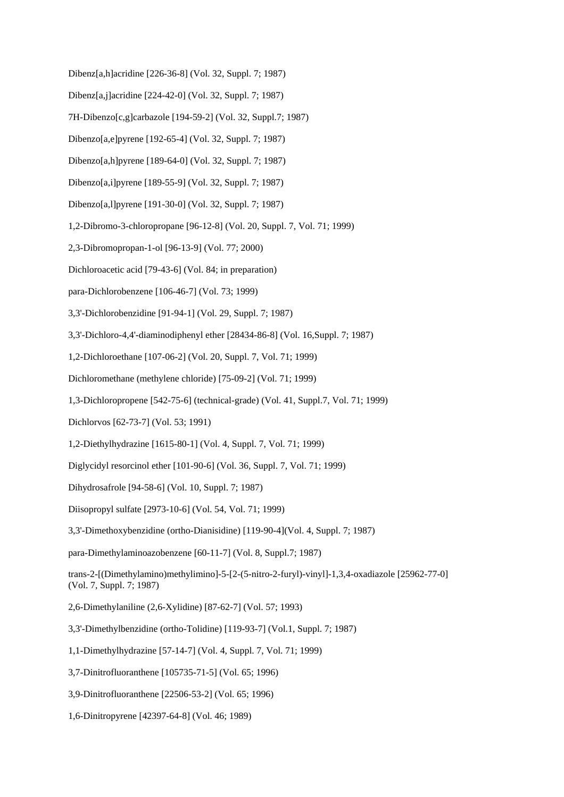Dibenz[a,h]acridine [226-36-8] (Vol. 32, Suppl. 7; 1987)

- Dibenz[a,j]acridine [224-42-0] (Vol. 32, Suppl. 7; 1987)
- 7H-Dibenzo[c,g]carbazole [194-59-2] (Vol. 32, Suppl.7; 1987)
- Dibenzo[a,e]pyrene [192-65-4] (Vol. 32, Suppl. 7; 1987)
- Dibenzo[a,h]pyrene [189-64-0] (Vol. 32, Suppl. 7; 1987)
- Dibenzo[a,i]pyrene [189-55-9] (Vol. 32, Suppl. 7; 1987)
- Dibenzo[a,l]pyrene [191-30-0] (Vol. 32, Suppl. 7; 1987)
- 1,2-Dibromo-3-chloropropane [96-12-8] (Vol. 20, Suppl. 7, Vol. 71; 1999)
- 2,3-Dibromopropan-1-ol [96-13-9] (Vol. 77; 2000)
- Dichloroacetic acid [79-43-6] (Vol. 84; in preparation)
- para-Dichlorobenzene [106-46-7] (Vol. 73; 1999)
- 3,3'-Dichlorobenzidine [91-94-1] (Vol. 29, Suppl. 7; 1987)
- 3,3'-Dichloro-4,4'-diaminodiphenyl ether [28434-86-8] (Vol. 16,Suppl. 7; 1987)
- 1,2-Dichloroethane [107-06-2] (Vol. 20, Suppl. 7, Vol. 71; 1999)
- Dichloromethane (methylene chloride) [75-09-2] (Vol. 71; 1999)
- 1,3-Dichloropropene [542-75-6] (technical-grade) (Vol. 41, Suppl.7, Vol. 71; 1999)
- Dichlorvos [62-73-7] (Vol. 53; 1991)
- 1,2-Diethylhydrazine [1615-80-1] (Vol. 4, Suppl. 7, Vol. 71; 1999)
- Diglycidyl resorcinol ether [101-90-6] (Vol. 36, Suppl. 7, Vol. 71; 1999)
- Dihydrosafrole [94-58-6] (Vol. 10, Suppl. 7; 1987)
- Diisopropyl sulfate [2973-10-6] (Vol. 54, Vol. 71; 1999)
- 3,3'-Dimethoxybenzidine (ortho-Dianisidine) [119-90-4](Vol. 4, Suppl. 7; 1987)
- para-Dimethylaminoazobenzene [60-11-7] (Vol. 8, Suppl.7; 1987)
- trans-2-[(Dimethylamino)methylimino]-5-[2-(5-nitro-2-furyl)-vinyl]-1,3,4-oxadiazole [25962-77-0] (Vol. 7, Suppl. 7; 1987)
- 2,6-Dimethylaniline (2,6-Xylidine) [87-62-7] (Vol. 57; 1993)
- 3,3'-Dimethylbenzidine (ortho-Tolidine) [119-93-7] (Vol.1, Suppl. 7; 1987)
- 1,1-Dimethylhydrazine [57-14-7] (Vol. 4, Suppl. 7, Vol. 71; 1999)
- 3,7-Dinitrofluoranthene [105735-71-5] (Vol. 65; 1996)
- 3,9-Dinitrofluoranthene [22506-53-2] (Vol. 65; 1996)
- 1,6-Dinitropyrene [42397-64-8] (Vol. 46; 1989)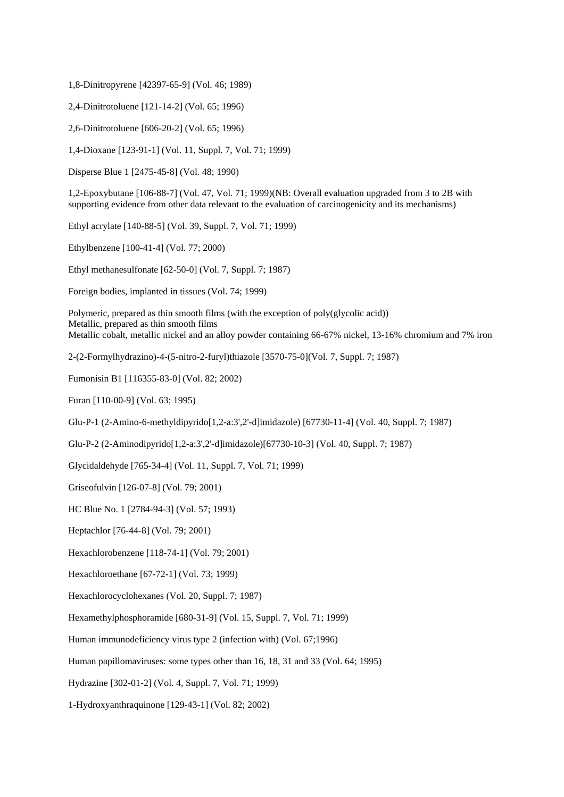1,8-Dinitropyrene [42397-65-9] (Vol. 46; 1989)

2,4-Dinitrotoluene [121-14-2] (Vol. 65; 1996)

2,6-Dinitrotoluene [606-20-2] (Vol. 65; 1996)

1,4-Dioxane [123-91-1] (Vol. 11, Suppl. 7, Vol. 71; 1999)

Disperse Blue 1 [2475-45-8] (Vol. 48; 1990)

1,2-Epoxybutane [106-88-7] (Vol. 47, Vol. 71; 1999)(NB: Overall evaluation upgraded from 3 to 2B with supporting evidence from other data relevant to the evaluation of carcinogenicity and its mechanisms)

Ethyl acrylate [140-88-5] (Vol. 39, Suppl. 7, Vol. 71; 1999)

Ethylbenzene [100-41-4] (Vol. 77; 2000)

Ethyl methanesulfonate [62-50-0] (Vol. 7, Suppl. 7; 1987)

Foreign bodies, implanted in tissues (Vol. 74; 1999)

Polymeric, prepared as thin smooth films (with the exception of poly(glycolic acid)) Metallic, prepared as thin smooth films Metallic cobalt, metallic nickel and an alloy powder containing 66-67% nickel, 13-16% chromium and 7% iron

2-(2-Formylhydrazino)-4-(5-nitro-2-furyl)thiazole [3570-75-0](Vol. 7, Suppl. 7; 1987)

Fumonisin B1 [116355-83-0] (Vol. 82; 2002)

Furan [110-00-9] (Vol. 63; 1995)

Glu-P-1 (2-Amino-6-methyldipyrido[1,2-a:3',2'-d]imidazole) [67730-11-4] (Vol. 40, Suppl. 7; 1987)

Glu-P-2 (2-Aminodipyrido[1,2-a:3',2'-d]imidazole)[67730-10-3] (Vol. 40, Suppl. 7; 1987)

Glycidaldehyde [765-34-4] (Vol. 11, Suppl. 7, Vol. 71; 1999)

Griseofulvin [126-07-8] (Vol. 79; 2001)

HC Blue No. 1 [2784-94-3] (Vol. 57; 1993)

Heptachlor [76-44-8] (Vol. 79; 2001)

Hexachlorobenzene [118-74-1] (Vol. 79; 2001)

Hexachloroethane [67-72-1] (Vol. 73; 1999)

Hexachlorocyclohexanes (Vol. 20, Suppl. 7; 1987)

Hexamethylphosphoramide [680-31-9] (Vol. 15, Suppl. 7, Vol. 71; 1999)

Human immunodeficiency virus type 2 (infection with) (Vol. 67;1996)

Human papillomaviruses: some types other than 16, 18, 31 and 33 (Vol. 64; 1995)

Hydrazine [302-01-2] (Vol. 4, Suppl. 7, Vol. 71; 1999)

1-Hydroxyanthraquinone [129-43-1] (Vol. 82; 2002)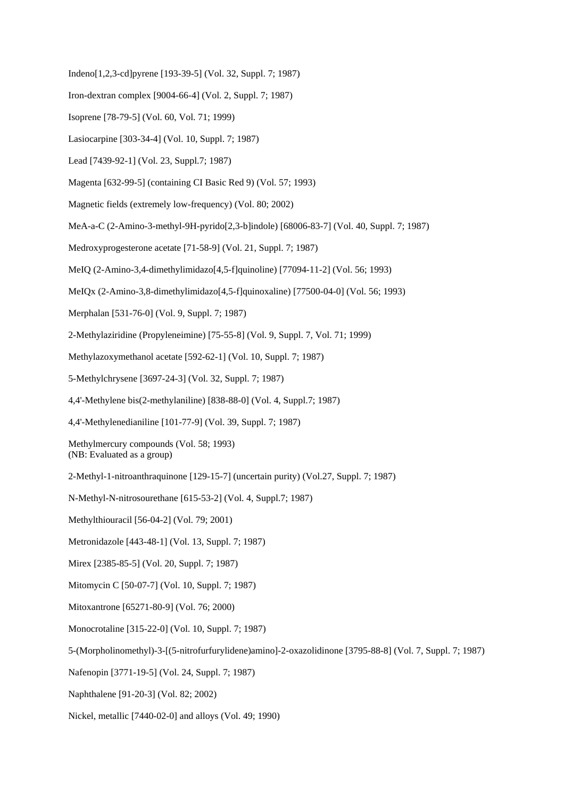- Indeno[1,2,3-cd]pyrene [193-39-5] (Vol. 32, Suppl. 7; 1987)
- Iron-dextran complex [9004-66-4] (Vol. 2, Suppl. 7; 1987)
- Isoprene [78-79-5] (Vol. 60, Vol. 71; 1999)
- Lasiocarpine [303-34-4] (Vol. 10, Suppl. 7; 1987)
- Lead [7439-92-1] (Vol. 23, Suppl.7; 1987)
- Magenta [632-99-5] (containing CI Basic Red 9) (Vol. 57; 1993)
- Magnetic fields (extremely low-frequency) (Vol. 80; 2002)
- MeA-a-C (2-Amino-3-methyl-9H-pyrido[2,3-b]indole) [68006-83-7] (Vol. 40, Suppl. 7; 1987)
- Medroxyprogesterone acetate [71-58-9] (Vol. 21, Suppl. 7; 1987)
- MeIQ (2-Amino-3,4-dimethylimidazo[4,5-f]quinoline) [77094-11-2] (Vol. 56; 1993)
- MeIQx (2-Amino-3,8-dimethylimidazo[4,5-f]quinoxaline) [77500-04-0] (Vol. 56; 1993)
- Merphalan [531-76-0] (Vol. 9, Suppl. 7; 1987)
- 2-Methylaziridine (Propyleneimine) [75-55-8] (Vol. 9, Suppl. 7, Vol. 71; 1999)
- Methylazoxymethanol acetate [592-62-1] (Vol. 10, Suppl. 7; 1987)
- 5-Methylchrysene [3697-24-3] (Vol. 32, Suppl. 7; 1987)
- 4,4'-Methylene bis(2-methylaniline) [838-88-0] (Vol. 4, Suppl.7; 1987)
- 4,4'-Methylenedianiline [101-77-9] (Vol. 39, Suppl. 7; 1987)

Methylmercury compounds (Vol. 58; 1993) (NB: Evaluated as a group)

- 2-Methyl-1-nitroanthraquinone [129-15-7] (uncertain purity) (Vol.27, Suppl. 7; 1987)
- N-Methyl-N-nitrosourethane [615-53-2] (Vol. 4, Suppl.7; 1987)
- Methylthiouracil [56-04-2] (Vol. 79; 2001)
- Metronidazole [443-48-1] (Vol. 13, Suppl. 7; 1987)
- Mirex [2385-85-5] (Vol. 20, Suppl. 7; 1987)
- Mitomycin C [50-07-7] (Vol. 10, Suppl. 7; 1987)
- Mitoxantrone [65271-80-9] (Vol. 76; 2000)
- Monocrotaline [315-22-0] (Vol. 10, Suppl. 7; 1987)
- 5-(Morpholinomethyl)-3-[(5-nitrofurfurylidene)amino]-2-oxazolidinone [3795-88-8] (Vol. 7, Suppl. 7; 1987)
- Nafenopin [3771-19-5] (Vol. 24, Suppl. 7; 1987)
- Naphthalene [91-20-3] (Vol. 82; 2002)
- Nickel, metallic [7440-02-0] and alloys (Vol. 49; 1990)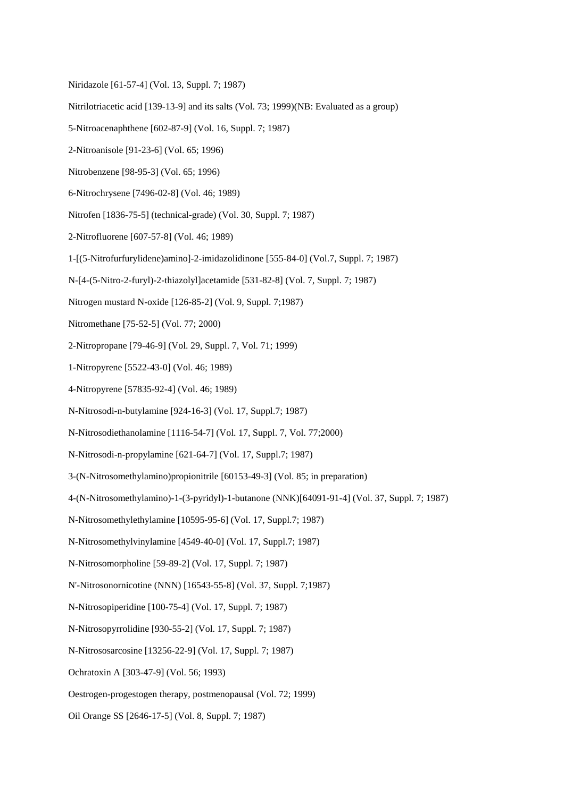- Niridazole [61-57-4] (Vol. 13, Suppl. 7; 1987)
- Nitrilotriacetic acid [139-13-9] and its salts (Vol. 73; 1999)(NB: Evaluated as a group)
- 5-Nitroacenaphthene [602-87-9] (Vol. 16, Suppl. 7; 1987)
- 2-Nitroanisole [91-23-6] (Vol. 65; 1996)
- Nitrobenzene [98-95-3] (Vol. 65; 1996)
- 6-Nitrochrysene [7496-02-8] (Vol. 46; 1989)
- Nitrofen [1836-75-5] (technical-grade) (Vol. 30, Suppl. 7; 1987)
- 2-Nitrofluorene [607-57-8] (Vol. 46; 1989)
- 1-[(5-Nitrofurfurylidene)amino]-2-imidazolidinone [555-84-0] (Vol.7, Suppl. 7; 1987)
- N-[4-(5-Nitro-2-furyl)-2-thiazolyl]acetamide [531-82-8] (Vol. 7, Suppl. 7; 1987)
- Nitrogen mustard N-oxide [126-85-2] (Vol. 9, Suppl. 7;1987)
- Nitromethane [75-52-5] (Vol. 77; 2000)
- 2-Nitropropane [79-46-9] (Vol. 29, Suppl. 7, Vol. 71; 1999)
- 1-Nitropyrene [5522-43-0] (Vol. 46; 1989)
- 4-Nitropyrene [57835-92-4] (Vol. 46; 1989)
- N-Nitrosodi-n-butylamine [924-16-3] (Vol. 17, Suppl.7; 1987)
- N-Nitrosodiethanolamine [1116-54-7] (Vol. 17, Suppl. 7, Vol. 77;2000)
- N-Nitrosodi-n-propylamine [621-64-7] (Vol. 17, Suppl.7; 1987)
- 3-(N-Nitrosomethylamino)propionitrile [60153-49-3] (Vol. 85; in preparation)
- 4-(N-Nitrosomethylamino)-1-(3-pyridyl)-1-butanone (NNK)[64091-91-4] (Vol. 37, Suppl. 7; 1987)
- N-Nitrosomethylethylamine [10595-95-6] (Vol. 17, Suppl.7; 1987)
- N-Nitrosomethylvinylamine [4549-40-0] (Vol. 17, Suppl.7; 1987)
- N-Nitrosomorpholine [59-89-2] (Vol. 17, Suppl. 7; 1987)
- N'-Nitrosonornicotine (NNN) [16543-55-8] (Vol. 37, Suppl. 7;1987)
- N-Nitrosopiperidine [100-75-4] (Vol. 17, Suppl. 7; 1987)
- N-Nitrosopyrrolidine [930-55-2] (Vol. 17, Suppl. 7; 1987)
- N-Nitrososarcosine [13256-22-9] (Vol. 17, Suppl. 7; 1987)
- Ochratoxin A [303-47-9] (Vol. 56; 1993)
- Oestrogen-progestogen therapy, postmenopausal (Vol. 72; 1999)
- Oil Orange SS [2646-17-5] (Vol. 8, Suppl. 7; 1987)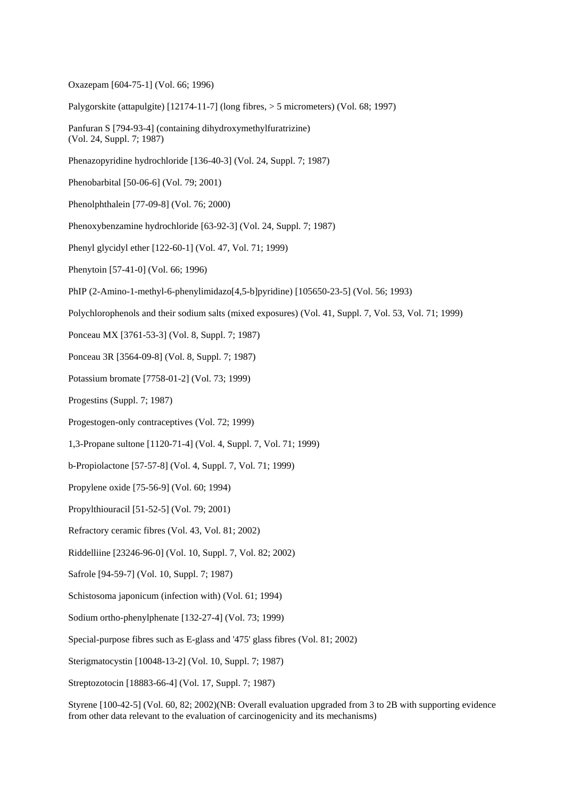Oxazepam [604-75-1] (Vol. 66; 1996)

Palygorskite (attapulgite) [12174-11-7] (long fibres, > 5 micrometers) (Vol. 68; 1997)

Panfuran S [794-93-4] (containing dihydroxymethylfuratrizine) (Vol. 24, Suppl. 7; 1987)

Phenazopyridine hydrochloride [136-40-3] (Vol. 24, Suppl. 7; 1987)

Phenobarbital [50-06-6] (Vol. 79; 2001)

Phenolphthalein [77-09-8] (Vol. 76; 2000)

Phenoxybenzamine hydrochloride [63-92-3] (Vol. 24, Suppl. 7; 1987)

Phenyl glycidyl ether [122-60-1] (Vol. 47, Vol. 71; 1999)

Phenytoin [57-41-0] (Vol. 66; 1996)

PhIP (2-Amino-1-methyl-6-phenylimidazo[4,5-b]pyridine) [105650-23-5] (Vol. 56; 1993)

Polychlorophenols and their sodium salts (mixed exposures) (Vol. 41, Suppl. 7, Vol. 53, Vol. 71; 1999)

Ponceau MX [3761-53-3] (Vol. 8, Suppl. 7; 1987)

Ponceau 3R [3564-09-8] (Vol. 8, Suppl. 7; 1987)

Potassium bromate [7758-01-2] (Vol. 73; 1999)

Progestins (Suppl. 7; 1987)

Progestogen-only contraceptives (Vol. 72; 1999)

1,3-Propane sultone [1120-71-4] (Vol. 4, Suppl. 7, Vol. 71; 1999)

b-Propiolactone [57-57-8] (Vol. 4, Suppl. 7, Vol. 71; 1999)

Propylene oxide [75-56-9] (Vol. 60; 1994)

Propylthiouracil [51-52-5] (Vol. 79; 2001)

Refractory ceramic fibres (Vol. 43, Vol. 81; 2002)

Riddelliine [23246-96-0] (Vol. 10, Suppl. 7, Vol. 82; 2002)

Safrole [94-59-7] (Vol. 10, Suppl. 7; 1987)

Schistosoma japonicum (infection with) (Vol. 61; 1994)

Sodium ortho-phenylphenate [132-27-4] (Vol. 73; 1999)

Special-purpose fibres such as E-glass and '475' glass fibres (Vol. 81; 2002)

Sterigmatocystin [10048-13-2] (Vol. 10, Suppl. 7; 1987)

Streptozotocin [18883-66-4] (Vol. 17, Suppl. 7; 1987)

Styrene [100-42-5] (Vol. 60, 82; 2002)(NB: Overall evaluation upgraded from 3 to 2B with supporting evidence from other data relevant to the evaluation of carcinogenicity and its mechanisms)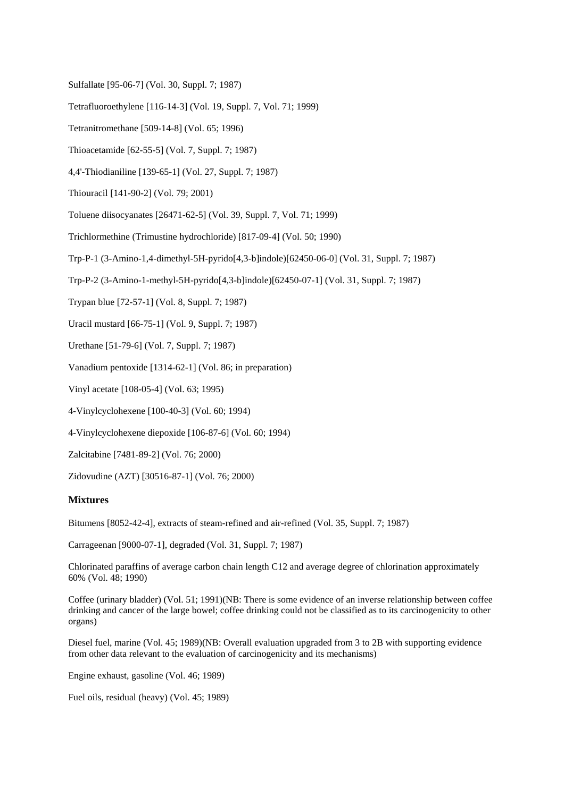- Sulfallate [95-06-7] (Vol. 30, Suppl. 7; 1987)
- Tetrafluoroethylene [116-14-3] (Vol. 19, Suppl. 7, Vol. 71; 1999)
- Tetranitromethane [509-14-8] (Vol. 65; 1996)
- Thioacetamide [62-55-5] (Vol. 7, Suppl. 7; 1987)
- 4,4'-Thiodianiline [139-65-1] (Vol. 27, Suppl. 7; 1987)
- Thiouracil [141-90-2] (Vol. 79; 2001)
- Toluene diisocyanates [26471-62-5] (Vol. 39, Suppl. 7, Vol. 71; 1999)
- Trichlormethine (Trimustine hydrochloride) [817-09-4] (Vol. 50; 1990)
- Trp-P-1 (3-Amino-1,4-dimethyl-5H-pyrido[4,3-b]indole)[62450-06-0] (Vol. 31, Suppl. 7; 1987)
- Trp-P-2 (3-Amino-1-methyl-5H-pyrido[4,3-b]indole)[62450-07-1] (Vol. 31, Suppl. 7; 1987)
- Trypan blue [72-57-1] (Vol. 8, Suppl. 7; 1987)

Uracil mustard [66-75-1] (Vol. 9, Suppl. 7; 1987)

- Urethane [51-79-6] (Vol. 7, Suppl. 7; 1987)
- Vanadium pentoxide [1314-62-1] (Vol. 86; in preparation)
- Vinyl acetate [108-05-4] (Vol. 63; 1995)
- 4-Vinylcyclohexene [100-40-3] (Vol. 60; 1994)
- 4-Vinylcyclohexene diepoxide [106-87-6] (Vol. 60; 1994)
- Zalcitabine [7481-89-2] (Vol. 76; 2000)

Zidovudine (AZT) [30516-87-1] (Vol. 76; 2000)

#### **Mixtures**

Bitumens [8052-42-4], extracts of steam-refined and air-refined (Vol. 35, Suppl. 7; 1987)

Carrageenan [9000-07-1], degraded (Vol. 31, Suppl. 7; 1987)

Chlorinated paraffins of average carbon chain length C12 and average degree of chlorination approximately 60% (Vol. 48; 1990)

Coffee (urinary bladder) (Vol. 51; 1991)(NB: There is some evidence of an inverse relationship between coffee drinking and cancer of the large bowel; coffee drinking could not be classified as to its carcinogenicity to other organs)

Diesel fuel, marine (Vol. 45; 1989)(NB: Overall evaluation upgraded from 3 to 2B with supporting evidence from other data relevant to the evaluation of carcinogenicity and its mechanisms)

Engine exhaust, gasoline (Vol. 46; 1989)

Fuel oils, residual (heavy) (Vol. 45; 1989)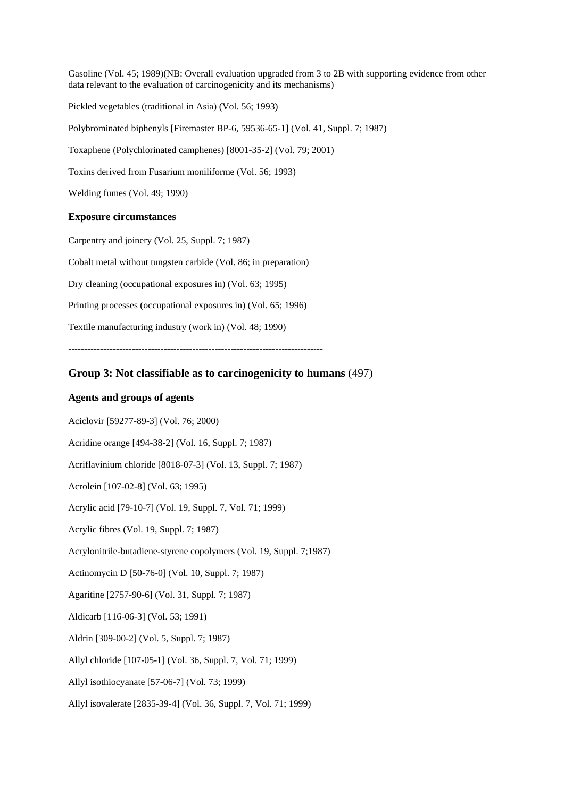Gasoline (Vol. 45; 1989)(NB: Overall evaluation upgraded from 3 to 2B with supporting evidence from other data relevant to the evaluation of carcinogenicity and its mechanisms) Pickled vegetables (traditional in Asia) (Vol. 56; 1993) Polybrominated biphenyls [Firemaster BP-6, 59536-65-1] (Vol. 41, Suppl. 7; 1987) Toxaphene (Polychlorinated camphenes) [8001-35-2] (Vol. 79; 2001) Toxins derived from Fusarium moniliforme (Vol. 56; 1993)

Welding fumes (Vol. 49; 1990)

# **Exposure circumstances**

Carpentry and joinery (Vol. 25, Suppl. 7; 1987)

Cobalt metal without tungsten carbide (Vol. 86; in preparation)

Dry cleaning (occupational exposures in) (Vol. 63; 1995)

Printing processes (occupational exposures in) (Vol. 65; 1996)

Textile manufacturing industry (work in) (Vol. 48; 1990)

--------------------------------------------------------------------------------

# **Group 3: Not classifiable as to carcinogenicity to humans** (497)

# **Agents and groups of agents**

Aciclovir [59277-89-3] (Vol. 76; 2000)

Acridine orange [494-38-2] (Vol. 16, Suppl. 7; 1987)

Acriflavinium chloride [8018-07-3] (Vol. 13, Suppl. 7; 1987)

Acrolein [107-02-8] (Vol. 63; 1995)

Acrylic acid [79-10-7] (Vol. 19, Suppl. 7, Vol. 71; 1999)

Acrylic fibres (Vol. 19, Suppl. 7; 1987)

Acrylonitrile-butadiene-styrene copolymers (Vol. 19, Suppl. 7;1987)

Actinomycin D [50-76-0] (Vol. 10, Suppl. 7; 1987)

Agaritine [2757-90-6] (Vol. 31, Suppl. 7; 1987)

Aldicarb [116-06-3] (Vol. 53; 1991)

Aldrin [309-00-2] (Vol. 5, Suppl. 7; 1987)

Allyl chloride [107-05-1] (Vol. 36, Suppl. 7, Vol. 71; 1999)

Allyl isothiocyanate [57-06-7] (Vol. 73; 1999)

Allyl isovalerate [2835-39-4] (Vol. 36, Suppl. 7, Vol. 71; 1999)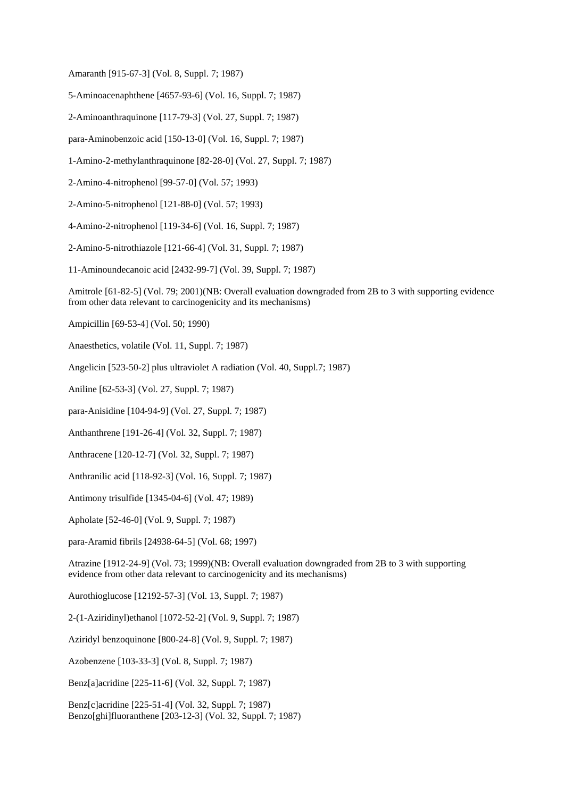Amaranth [915-67-3] (Vol. 8, Suppl. 7; 1987)

5-Aminoacenaphthene [4657-93-6] (Vol. 16, Suppl. 7; 1987)

2-Aminoanthraquinone [117-79-3] (Vol. 27, Suppl. 7; 1987)

para-Aminobenzoic acid [150-13-0] (Vol. 16, Suppl. 7; 1987)

1-Amino-2-methylanthraquinone [82-28-0] (Vol. 27, Suppl. 7; 1987)

2-Amino-4-nitrophenol [99-57-0] (Vol. 57; 1993)

2-Amino-5-nitrophenol [121-88-0] (Vol. 57; 1993)

4-Amino-2-nitrophenol [119-34-6] (Vol. 16, Suppl. 7; 1987)

2-Amino-5-nitrothiazole [121-66-4] (Vol. 31, Suppl. 7; 1987)

11-Aminoundecanoic acid [2432-99-7] (Vol. 39, Suppl. 7; 1987)

Amitrole [61-82-5] (Vol. 79; 2001)(NB: Overall evaluation downgraded from 2B to 3 with supporting evidence from other data relevant to carcinogenicity and its mechanisms)

Ampicillin [69-53-4] (Vol. 50; 1990)

Anaesthetics, volatile (Vol. 11, Suppl. 7; 1987)

Angelicin [523-50-2] plus ultraviolet A radiation (Vol. 40, Suppl.7; 1987)

Aniline [62-53-3] (Vol. 27, Suppl. 7; 1987)

para-Anisidine [104-94-9] (Vol. 27, Suppl. 7; 1987)

Anthanthrene [191-26-4] (Vol. 32, Suppl. 7; 1987)

Anthracene [120-12-7] (Vol. 32, Suppl. 7; 1987)

Anthranilic acid [118-92-3] (Vol. 16, Suppl. 7; 1987)

Antimony trisulfide [1345-04-6] (Vol. 47; 1989)

Apholate [52-46-0] (Vol. 9, Suppl. 7; 1987)

para-Aramid fibrils [24938-64-5] (Vol. 68; 1997)

Atrazine [1912-24-9] (Vol. 73; 1999)(NB: Overall evaluation downgraded from 2B to 3 with supporting evidence from other data relevant to carcinogenicity and its mechanisms)

Aurothioglucose [12192-57-3] (Vol. 13, Suppl. 7; 1987)

2-(1-Aziridinyl)ethanol [1072-52-2] (Vol. 9, Suppl. 7; 1987)

Aziridyl benzoquinone [800-24-8] (Vol. 9, Suppl. 7; 1987)

Azobenzene [103-33-3] (Vol. 8, Suppl. 7; 1987)

Benz[a]acridine [225-11-6] (Vol. 32, Suppl. 7; 1987)

Benz[c]acridine [225-51-4] (Vol. 32, Suppl. 7; 1987) Benzo[ghi]fluoranthene [203-12-3] (Vol. 32, Suppl. 7; 1987)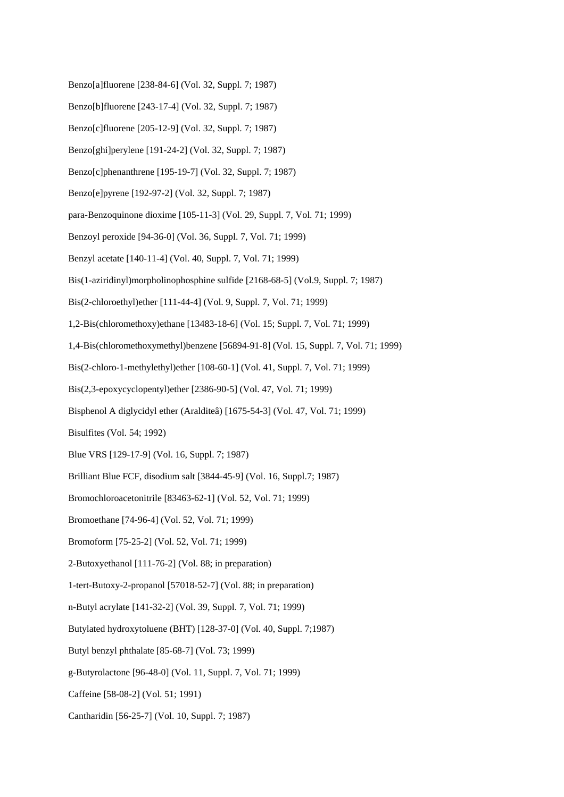- Benzo[a]fluorene [238-84-6] (Vol. 32, Suppl. 7; 1987)
- Benzo[b]fluorene [243-17-4] (Vol. 32, Suppl. 7; 1987)
- Benzo[c]fluorene [205-12-9] (Vol. 32, Suppl. 7; 1987)
- Benzo[ghi]perylene [191-24-2] (Vol. 32, Suppl. 7; 1987)
- Benzo[c]phenanthrene [195-19-7] (Vol. 32, Suppl. 7; 1987)
- Benzo[e]pyrene [192-97-2] (Vol. 32, Suppl. 7; 1987)
- para-Benzoquinone dioxime [105-11-3] (Vol. 29, Suppl. 7, Vol. 71; 1999)
- Benzoyl peroxide [94-36-0] (Vol. 36, Suppl. 7, Vol. 71; 1999)
- Benzyl acetate [140-11-4] (Vol. 40, Suppl. 7, Vol. 71; 1999)
- Bis(1-aziridinyl)morpholinophosphine sulfide [2168-68-5] (Vol.9, Suppl. 7; 1987)
- Bis(2-chloroethyl)ether [111-44-4] (Vol. 9, Suppl. 7, Vol. 71; 1999)
- 1,2-Bis(chloromethoxy)ethane [13483-18-6] (Vol. 15; Suppl. 7, Vol. 71; 1999)
- 1,4-Bis(chloromethoxymethyl)benzene [56894-91-8] (Vol. 15, Suppl. 7, Vol. 71; 1999)
- Bis(2-chloro-1-methylethyl)ether [108-60-1] (Vol. 41, Suppl. 7, Vol. 71; 1999)
- Bis(2,3-epoxycyclopentyl)ether [2386-90-5] (Vol. 47, Vol. 71; 1999)
- Bisphenol A diglycidyl ether (Aralditeâ) [1675-54-3] (Vol. 47, Vol. 71; 1999)
- Bisulfites (Vol. 54; 1992)
- Blue VRS [129-17-9] (Vol. 16, Suppl. 7; 1987)
- Brilliant Blue FCF, disodium salt [3844-45-9] (Vol. 16, Suppl.7; 1987)
- Bromochloroacetonitrile [83463-62-1] (Vol. 52, Vol. 71; 1999)
- Bromoethane [74-96-4] (Vol. 52, Vol. 71; 1999)
- Bromoform [75-25-2] (Vol. 52, Vol. 71; 1999)
- 2-Butoxyethanol [111-76-2] (Vol. 88; in preparation)
- 1-tert-Butoxy-2-propanol [57018-52-7] (Vol. 88; in preparation)
- n-Butyl acrylate [141-32-2] (Vol. 39, Suppl. 7, Vol. 71; 1999)
- Butylated hydroxytoluene (BHT) [128-37-0] (Vol. 40, Suppl. 7;1987)
- Butyl benzyl phthalate [85-68-7] (Vol. 73; 1999)
- g-Butyrolactone [96-48-0] (Vol. 11, Suppl. 7, Vol. 71; 1999)
- Caffeine [58-08-2] (Vol. 51; 1991)
- Cantharidin [56-25-7] (Vol. 10, Suppl. 7; 1987)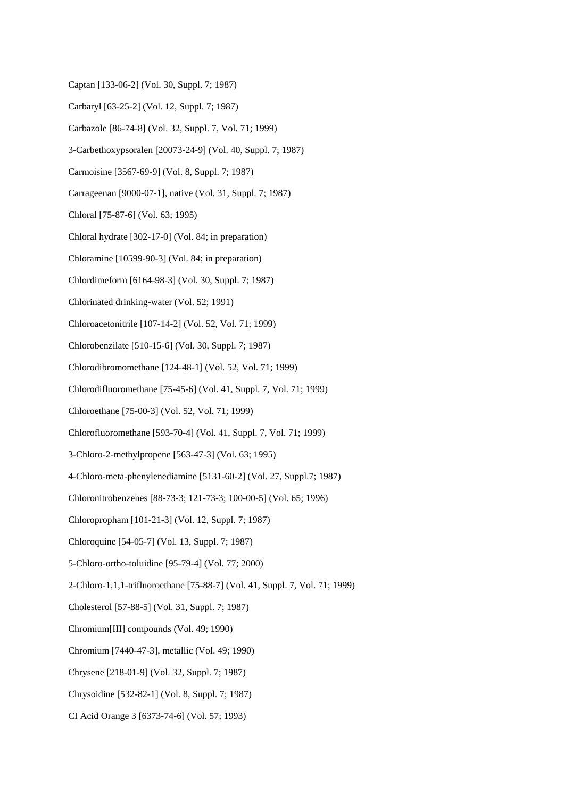- Captan [133-06-2] (Vol. 30, Suppl. 7; 1987)
- Carbaryl [63-25-2] (Vol. 12, Suppl. 7; 1987)
- Carbazole [86-74-8] (Vol. 32, Suppl. 7, Vol. 71; 1999)
- 3-Carbethoxypsoralen [20073-24-9] (Vol. 40, Suppl. 7; 1987)
- Carmoisine [3567-69-9] (Vol. 8, Suppl. 7; 1987)
- Carrageenan [9000-07-1], native (Vol. 31, Suppl. 7; 1987)
- Chloral [75-87-6] (Vol. 63; 1995)
- Chloral hydrate [302-17-0] (Vol. 84; in preparation)
- Chloramine [10599-90-3] (Vol. 84; in preparation)
- Chlordimeform [6164-98-3] (Vol. 30, Suppl. 7; 1987)
- Chlorinated drinking-water (Vol. 52; 1991)
- Chloroacetonitrile [107-14-2] (Vol. 52, Vol. 71; 1999)
- Chlorobenzilate [510-15-6] (Vol. 30, Suppl. 7; 1987)
- Chlorodibromomethane [124-48-1] (Vol. 52, Vol. 71; 1999)
- Chlorodifluoromethane [75-45-6] (Vol. 41, Suppl. 7, Vol. 71; 1999)
- Chloroethane [75-00-3] (Vol. 52, Vol. 71; 1999)
- Chlorofluoromethane [593-70-4] (Vol. 41, Suppl. 7, Vol. 71; 1999)
- 3-Chloro-2-methylpropene [563-47-3] (Vol. 63; 1995)
- 4-Chloro-meta-phenylenediamine [5131-60-2] (Vol. 27, Suppl.7; 1987)
- Chloronitrobenzenes [88-73-3; 121-73-3; 100-00-5] (Vol. 65; 1996)
- Chloropropham [101-21-3] (Vol. 12, Suppl. 7; 1987)
- Chloroquine [54-05-7] (Vol. 13, Suppl. 7; 1987)
- 5-Chloro-ortho-toluidine [95-79-4] (Vol. 77; 2000)
- 2-Chloro-1,1,1-trifluoroethane [75-88-7] (Vol. 41, Suppl. 7, Vol. 71; 1999)
- Cholesterol [57-88-5] (Vol. 31, Suppl. 7; 1987)
- Chromium[III] compounds (Vol. 49; 1990)
- Chromium [7440-47-3], metallic (Vol. 49; 1990)
- Chrysene [218-01-9] (Vol. 32, Suppl. 7; 1987)
- Chrysoidine [532-82-1] (Vol. 8, Suppl. 7; 1987)
- CI Acid Orange 3 [6373-74-6] (Vol. 57; 1993)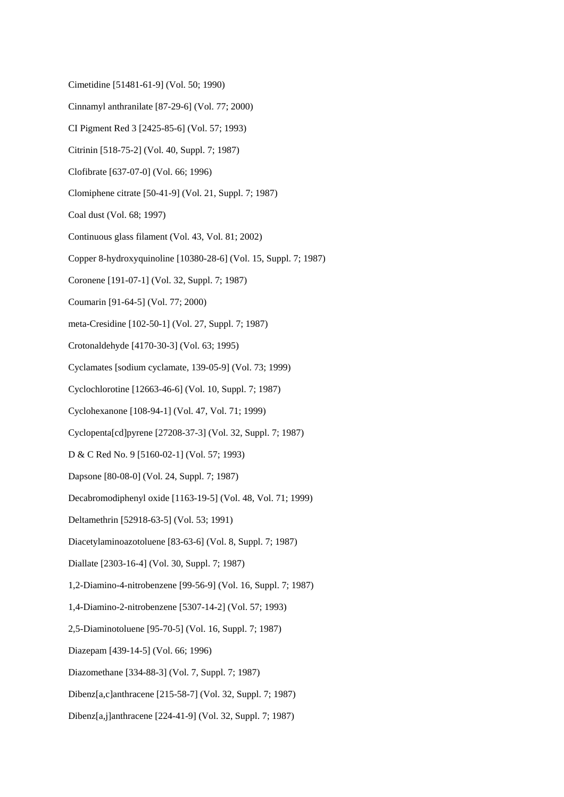- Cimetidine [51481-61-9] (Vol. 50; 1990)
- Cinnamyl anthranilate [87-29-6] (Vol. 77; 2000)
- CI Pigment Red 3 [2425-85-6] (Vol. 57; 1993)
- Citrinin [518-75-2] (Vol. 40, Suppl. 7; 1987)
- Clofibrate [637-07-0] (Vol. 66; 1996)
- Clomiphene citrate [50-41-9] (Vol. 21, Suppl. 7; 1987)
- Coal dust (Vol. 68; 1997)
- Continuous glass filament (Vol. 43, Vol. 81; 2002)
- Copper 8-hydroxyquinoline [10380-28-6] (Vol. 15, Suppl. 7; 1987)
- Coronene [191-07-1] (Vol. 32, Suppl. 7; 1987)
- Coumarin [91-64-5] (Vol. 77; 2000)
- meta-Cresidine [102-50-1] (Vol. 27, Suppl. 7; 1987)
- Crotonaldehyde [4170-30-3] (Vol. 63; 1995)
- Cyclamates [sodium cyclamate, 139-05-9] (Vol. 73; 1999)
- Cyclochlorotine [12663-46-6] (Vol. 10, Suppl. 7; 1987)
- Cyclohexanone [108-94-1] (Vol. 47, Vol. 71; 1999)
- Cyclopenta[cd]pyrene [27208-37-3] (Vol. 32, Suppl. 7; 1987)
- D & C Red No. 9 [5160-02-1] (Vol. 57; 1993)
- Dapsone [80-08-0] (Vol. 24, Suppl. 7; 1987)
- Decabromodiphenyl oxide [1163-19-5] (Vol. 48, Vol. 71; 1999)
- Deltamethrin [52918-63-5] (Vol. 53; 1991)
- Diacetylaminoazotoluene [83-63-6] (Vol. 8, Suppl. 7; 1987)
- Diallate [2303-16-4] (Vol. 30, Suppl. 7; 1987)
- 1,2-Diamino-4-nitrobenzene [99-56-9] (Vol. 16, Suppl. 7; 1987)
- 1,4-Diamino-2-nitrobenzene [5307-14-2] (Vol. 57; 1993)
- 2,5-Diaminotoluene [95-70-5] (Vol. 16, Suppl. 7; 1987)
- Diazepam [439-14-5] (Vol. 66; 1996)
- Diazomethane [334-88-3] (Vol. 7, Suppl. 7; 1987)
- Dibenz[a,c]anthracene [215-58-7] (Vol. 32, Suppl. 7; 1987)
- Dibenz[a,j]anthracene [224-41-9] (Vol. 32, Suppl. 7; 1987)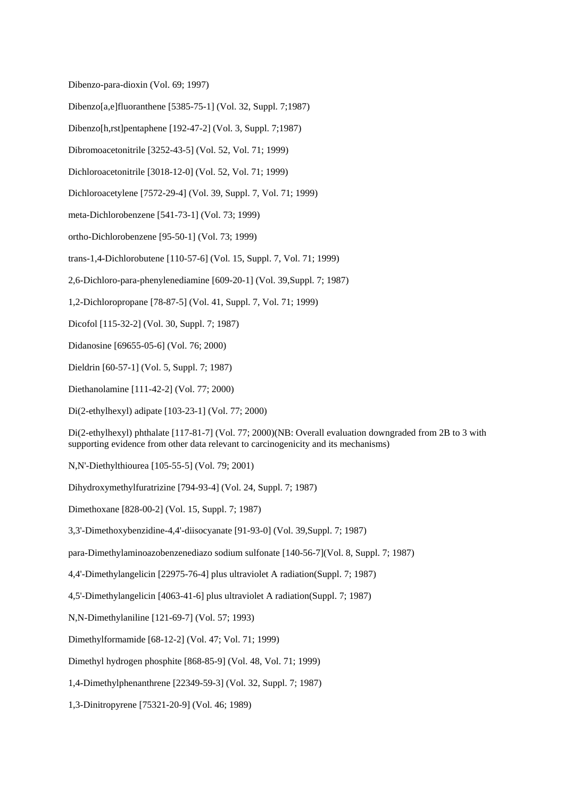Dibenzo-para-dioxin (Vol. 69; 1997)

Dibenzo[a,e]fluoranthene [5385-75-1] (Vol. 32, Suppl. 7;1987)

Dibenzo[h,rst]pentaphene [192-47-2] (Vol. 3, Suppl. 7;1987)

Dibromoacetonitrile [3252-43-5] (Vol. 52, Vol. 71; 1999)

Dichloroacetonitrile [3018-12-0] (Vol. 52, Vol. 71; 1999)

Dichloroacetylene [7572-29-4] (Vol. 39, Suppl. 7, Vol. 71; 1999)

meta-Dichlorobenzene [541-73-1] (Vol. 73; 1999)

ortho-Dichlorobenzene [95-50-1] (Vol. 73; 1999)

trans-1,4-Dichlorobutene [110-57-6] (Vol. 15, Suppl. 7, Vol. 71; 1999)

2,6-Dichloro-para-phenylenediamine [609-20-1] (Vol. 39,Suppl. 7; 1987)

1,2-Dichloropropane [78-87-5] (Vol. 41, Suppl. 7, Vol. 71; 1999)

Dicofol [115-32-2] (Vol. 30, Suppl. 7; 1987)

Didanosine [69655-05-6] (Vol. 76; 2000)

Dieldrin [60-57-1] (Vol. 5, Suppl. 7; 1987)

Diethanolamine [111-42-2] (Vol. 77; 2000)

Di(2-ethylhexyl) adipate [103-23-1] (Vol. 77; 2000)

Di(2-ethylhexyl) phthalate [117-81-7] (Vol. 77; 2000)(NB: Overall evaluation downgraded from 2B to 3 with supporting evidence from other data relevant to carcinogenicity and its mechanisms)

N,N'-Diethylthiourea [105-55-5] (Vol. 79; 2001)

Dihydroxymethylfuratrizine [794-93-4] (Vol. 24, Suppl. 7; 1987)

Dimethoxane [828-00-2] (Vol. 15, Suppl. 7; 1987)

3,3'-Dimethoxybenzidine-4,4'-diisocyanate [91-93-0] (Vol. 39,Suppl. 7; 1987)

para-Dimethylaminoazobenzenediazo sodium sulfonate [140-56-7](Vol. 8, Suppl. 7; 1987)

4,4'-Dimethylangelicin [22975-76-4] plus ultraviolet A radiation(Suppl. 7; 1987)

4,5'-Dimethylangelicin [4063-41-6] plus ultraviolet A radiation(Suppl. 7; 1987)

N,N-Dimethylaniline [121-69-7] (Vol. 57; 1993)

Dimethylformamide [68-12-2] (Vol. 47; Vol. 71; 1999)

Dimethyl hydrogen phosphite [868-85-9] (Vol. 48, Vol. 71; 1999)

1,4-Dimethylphenanthrene [22349-59-3] (Vol. 32, Suppl. 7; 1987)

1,3-Dinitropyrene [75321-20-9] (Vol. 46; 1989)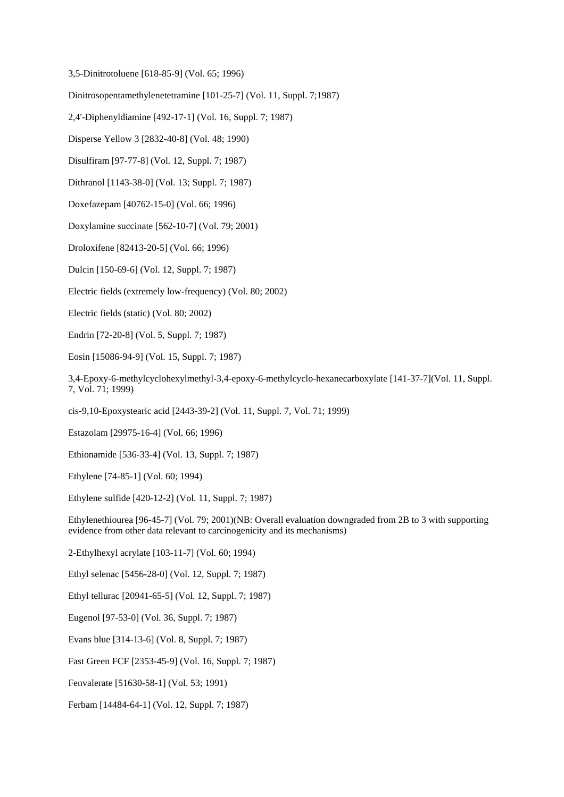3,5-Dinitrotoluene [618-85-9] (Vol. 65; 1996)

Dinitrosopentamethylenetetramine [101-25-7] (Vol. 11, Suppl. 7;1987)

2,4'-Diphenyldiamine [492-17-1] (Vol. 16, Suppl. 7; 1987)

Disperse Yellow 3 [2832-40-8] (Vol. 48; 1990)

Disulfiram [97-77-8] (Vol. 12, Suppl. 7; 1987)

Dithranol [1143-38-0] (Vol. 13; Suppl. 7; 1987)

Doxefazepam [40762-15-0] (Vol. 66; 1996)

Doxylamine succinate [562-10-7] (Vol. 79; 2001)

Droloxifene [82413-20-5] (Vol. 66; 1996)

Dulcin [150-69-6] (Vol. 12, Suppl. 7; 1987)

Electric fields (extremely low-frequency) (Vol. 80; 2002)

Electric fields (static) (Vol. 80; 2002)

Endrin [72-20-8] (Vol. 5, Suppl. 7; 1987)

Eosin [15086-94-9] (Vol. 15, Suppl. 7; 1987)

3,4-Epoxy-6-methylcyclohexylmethyl-3,4-epoxy-6-methylcyclo-hexanecarboxylate [141-37-7](Vol. 11, Suppl. 7, Vol. 71; 1999)

cis-9,10-Epoxystearic acid [2443-39-2] (Vol. 11, Suppl. 7, Vol. 71; 1999)

Estazolam [29975-16-4] (Vol. 66; 1996)

Ethionamide [536-33-4] (Vol. 13, Suppl. 7; 1987)

Ethylene [74-85-1] (Vol. 60; 1994)

Ethylene sulfide [420-12-2] (Vol. 11, Suppl. 7; 1987)

Ethylenethiourea [96-45-7] (Vol. 79; 2001)(NB: Overall evaluation downgraded from 2B to 3 with supporting evidence from other data relevant to carcinogenicity and its mechanisms)

2-Ethylhexyl acrylate [103-11-7] (Vol. 60; 1994)

Ethyl selenac [5456-28-0] (Vol. 12, Suppl. 7; 1987)

Ethyl tellurac [20941-65-5] (Vol. 12, Suppl. 7; 1987)

Eugenol [97-53-0] (Vol. 36, Suppl. 7; 1987)

Evans blue [314-13-6] (Vol. 8, Suppl. 7; 1987)

Fast Green FCF [2353-45-9] (Vol. 16, Suppl. 7; 1987)

Fenvalerate [51630-58-1] (Vol. 53; 1991)

Ferbam [14484-64-1] (Vol. 12, Suppl. 7; 1987)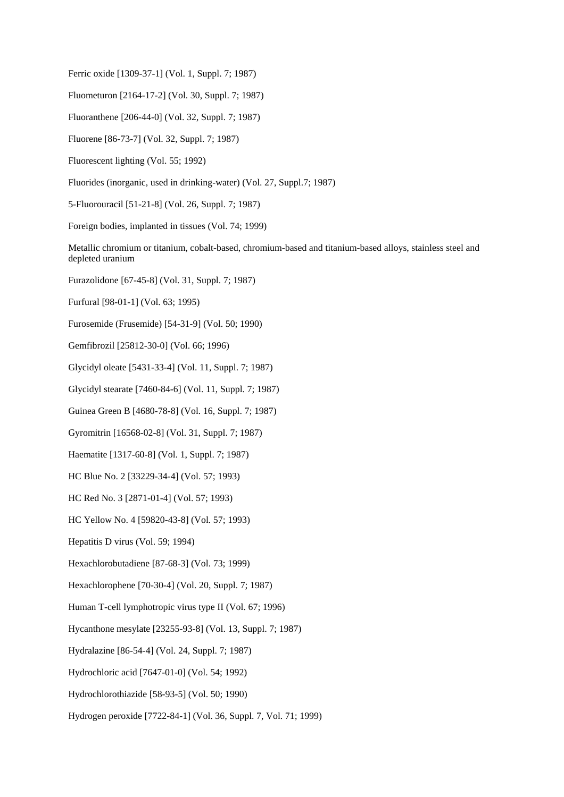Ferric oxide [1309-37-1] (Vol. 1, Suppl. 7; 1987)

Fluometuron [2164-17-2] (Vol. 30, Suppl. 7; 1987)

Fluoranthene [206-44-0] (Vol. 32, Suppl. 7; 1987)

Fluorene [86-73-7] (Vol. 32, Suppl. 7; 1987)

Fluorescent lighting (Vol. 55; 1992)

Fluorides (inorganic, used in drinking-water) (Vol. 27, Suppl.7; 1987)

5-Fluorouracil [51-21-8] (Vol. 26, Suppl. 7; 1987)

Foreign bodies, implanted in tissues (Vol. 74; 1999)

Metallic chromium or titanium, cobalt-based, chromium-based and titanium-based alloys, stainless steel and depleted uranium

Furazolidone [67-45-8] (Vol. 31, Suppl. 7; 1987)

Furfural [98-01-1] (Vol. 63; 1995)

Furosemide (Frusemide) [54-31-9] (Vol. 50; 1990)

Gemfibrozil [25812-30-0] (Vol. 66; 1996)

Glycidyl oleate [5431-33-4] (Vol. 11, Suppl. 7; 1987)

Glycidyl stearate [7460-84-6] (Vol. 11, Suppl. 7; 1987)

Guinea Green B [4680-78-8] (Vol. 16, Suppl. 7; 1987)

Gyromitrin [16568-02-8] (Vol. 31, Suppl. 7; 1987)

Haematite [1317-60-8] (Vol. 1, Suppl. 7; 1987)

HC Blue No. 2 [33229-34-4] (Vol. 57; 1993)

HC Red No. 3 [2871-01-4] (Vol. 57; 1993)

HC Yellow No. 4 [59820-43-8] (Vol. 57; 1993)

Hepatitis D virus (Vol. 59; 1994)

Hexachlorobutadiene [87-68-3] (Vol. 73; 1999)

Hexachlorophene [70-30-4] (Vol. 20, Suppl. 7; 1987)

Human T-cell lymphotropic virus type II (Vol. 67; 1996)

Hycanthone mesylate [23255-93-8] (Vol. 13, Suppl. 7; 1987)

Hydralazine [86-54-4] (Vol. 24, Suppl. 7; 1987)

Hydrochloric acid [7647-01-0] (Vol. 54; 1992)

Hydrochlorothiazide [58-93-5] (Vol. 50; 1990)

Hydrogen peroxide [7722-84-1] (Vol. 36, Suppl. 7, Vol. 71; 1999)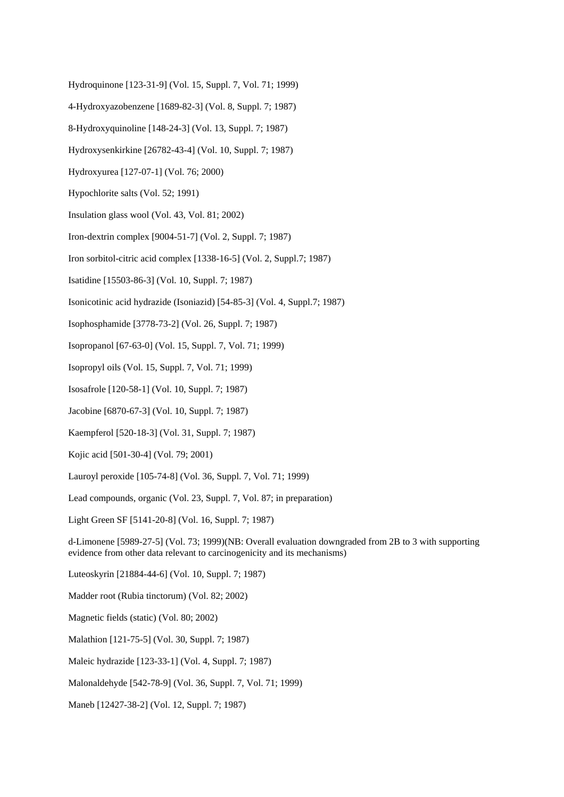- Hydroquinone [123-31-9] (Vol. 15, Suppl. 7, Vol. 71; 1999)
- 4-Hydroxyazobenzene [1689-82-3] (Vol. 8, Suppl. 7; 1987)
- 8-Hydroxyquinoline [148-24-3] (Vol. 13, Suppl. 7; 1987)
- Hydroxysenkirkine [26782-43-4] (Vol. 10, Suppl. 7; 1987)
- Hydroxyurea [127-07-1] (Vol. 76; 2000)
- Hypochlorite salts (Vol. 52; 1991)
- Insulation glass wool (Vol. 43, Vol. 81; 2002)
- Iron-dextrin complex [9004-51-7] (Vol. 2, Suppl. 7; 1987)
- Iron sorbitol-citric acid complex [1338-16-5] (Vol. 2, Suppl.7; 1987)
- Isatidine [15503-86-3] (Vol. 10, Suppl. 7; 1987)
- Isonicotinic acid hydrazide (Isoniazid) [54-85-3] (Vol. 4, Suppl.7; 1987)
- Isophosphamide [3778-73-2] (Vol. 26, Suppl. 7; 1987)
- Isopropanol [67-63-0] (Vol. 15, Suppl. 7, Vol. 71; 1999)
- Isopropyl oils (Vol. 15, Suppl. 7, Vol. 71; 1999)
- Isosafrole [120-58-1] (Vol. 10, Suppl. 7; 1987)
- Jacobine [6870-67-3] (Vol. 10, Suppl. 7; 1987)
- Kaempferol [520-18-3] (Vol. 31, Suppl. 7; 1987)
- Kojic acid [501-30-4] (Vol. 79; 2001)
- Lauroyl peroxide [105-74-8] (Vol. 36, Suppl. 7, Vol. 71; 1999)
- Lead compounds, organic (Vol. 23, Suppl. 7, Vol. 87; in preparation)
- Light Green SF [5141-20-8] (Vol. 16, Suppl. 7; 1987)

d-Limonene [5989-27-5] (Vol. 73; 1999)(NB: Overall evaluation downgraded from 2B to 3 with supporting evidence from other data relevant to carcinogenicity and its mechanisms)

- Luteoskyrin [21884-44-6] (Vol. 10, Suppl. 7; 1987)
- Madder root (Rubia tinctorum) (Vol. 82; 2002)
- Magnetic fields (static) (Vol. 80; 2002)
- Malathion [121-75-5] (Vol. 30, Suppl. 7; 1987)
- Maleic hydrazide [123-33-1] (Vol. 4, Suppl. 7; 1987)
- Malonaldehyde [542-78-9] (Vol. 36, Suppl. 7, Vol. 71; 1999)
- Maneb [12427-38-2] (Vol. 12, Suppl. 7; 1987)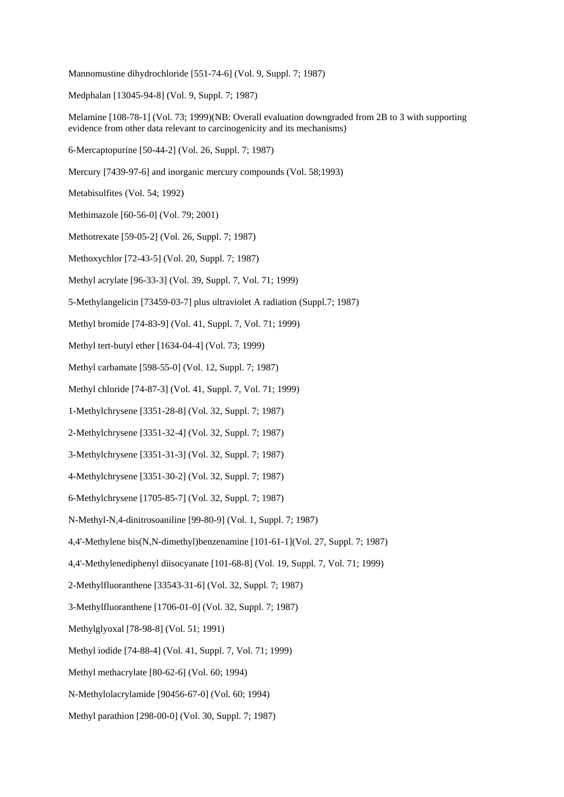Mannomustine dihydrochloride [551-74-6] (Vol. 9, Suppl. 7; 1987)

Medphalan [13045-94-8] (Vol. 9, Suppl. 7; 1987)

Melamine [108-78-1] (Vol. 73; 1999)(NB: Overall evaluation downgraded from 2B to 3 with supporting evidence from other data relevant to carcinogenicity and its mechanisms)

6-Mercaptopurine [50-44-2] (Vol. 26, Suppl. 7; 1987)

Mercury [7439-97-6] and inorganic mercury compounds (Vol. 58;1993)

Metabisulfites (Vol. 54; 1992)

Methimazole [60-56-0] (Vol. 79; 2001)

Methotrexate [59-05-2] (Vol. 26, Suppl. 7; 1987)

Methoxychlor [72-43-5] (Vol. 20, Suppl. 7; 1987)

Methyl acrylate [96-33-3] (Vol. 39, Suppl. 7, Vol. 71; 1999)

5-Methylangelicin [73459-03-7] plus ultraviolet A radiation (Suppl.7; 1987)

Methyl bromide [74-83-9] (Vol. 41, Suppl. 7, Vol. 71; 1999)

Methyl tert-butyl ether [1634-04-4] (Vol. 73; 1999)

Methyl carbamate [598-55-0] (Vol. 12, Suppl. 7; 1987)

Methyl chloride [74-87-3] (Vol. 41, Suppl. 7, Vol. 71; 1999)

1-Methylchrysene [3351-28-8] (Vol. 32, Suppl. 7; 1987)

2-Methylchrysene [3351-32-4] (Vol. 32, Suppl. 7; 1987)

3-Methylchrysene [3351-31-3] (Vol. 32, Suppl. 7; 1987)

4-Methylchrysene [3351-30-2] (Vol. 32, Suppl. 7; 1987)

6-Methylchrysene [1705-85-7] (Vol. 32, Suppl. 7; 1987)

N-Methyl-N,4-dinitrosoaniline [99-80-9] (Vol. 1, Suppl. 7; 1987)

4,4'-Methylene bis(N,N-dimethyl)benzenamine [101-61-1](Vol. 27, Suppl. 7; 1987)

4,4'-Methylenediphenyl diisocyanate [101-68-8] (Vol. 19, Suppl. 7, Vol. 71; 1999)

2-Methylfluoranthene [33543-31-6] (Vol. 32, Suppl. 7; 1987)

3-Methylfluoranthene [1706-01-0] (Vol. 32, Suppl. 7; 1987)

Methylglyoxal [78-98-8] (Vol. 51; 1991)

Methyl iodide [74-88-4] (Vol. 41, Suppl. 7, Vol. 71; 1999)

Methyl methacrylate [80-62-6] (Vol. 60; 1994)

N-Methylolacrylamide [90456-67-0] (Vol. 60; 1994)

Methyl parathion [298-00-0] (Vol. 30, Suppl. 7; 1987)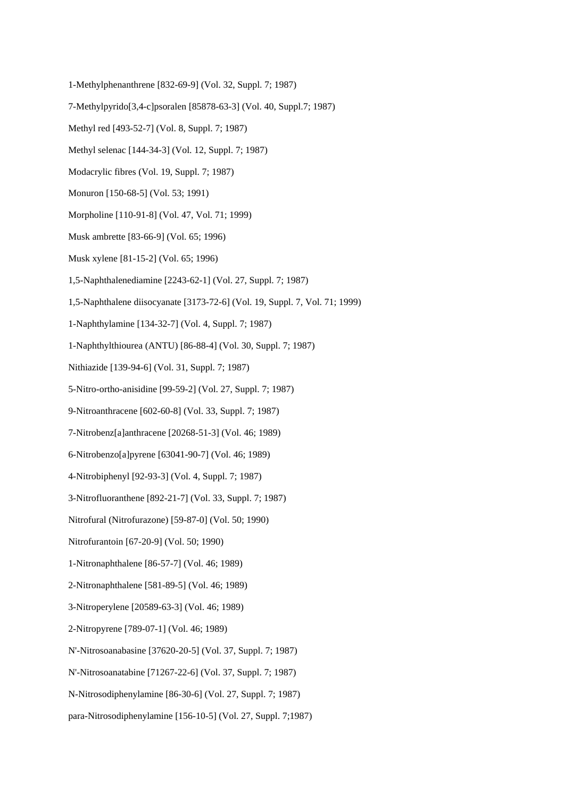- 1-Methylphenanthrene [832-69-9] (Vol. 32, Suppl. 7; 1987)
- 7-Methylpyrido[3,4-c]psoralen [85878-63-3] (Vol. 40, Suppl.7; 1987)
- Methyl red [493-52-7] (Vol. 8, Suppl. 7; 1987)
- Methyl selenac [144-34-3] (Vol. 12, Suppl. 7; 1987)
- Modacrylic fibres (Vol. 19, Suppl. 7; 1987)
- Monuron [150-68-5] (Vol. 53; 1991)
- Morpholine [110-91-8] (Vol. 47, Vol. 71; 1999)
- Musk ambrette [83-66-9] (Vol. 65; 1996)
- Musk xylene [81-15-2] (Vol. 65; 1996)
- 1,5-Naphthalenediamine [2243-62-1] (Vol. 27, Suppl. 7; 1987)
- 1,5-Naphthalene diisocyanate [3173-72-6] (Vol. 19, Suppl. 7, Vol. 71; 1999)
- 1-Naphthylamine [134-32-7] (Vol. 4, Suppl. 7; 1987)
- 1-Naphthylthiourea (ANTU) [86-88-4] (Vol. 30, Suppl. 7; 1987)
- Nithiazide [139-94-6] (Vol. 31, Suppl. 7; 1987)
- 5-Nitro-ortho-anisidine [99-59-2] (Vol. 27, Suppl. 7; 1987)
- 9-Nitroanthracene [602-60-8] (Vol. 33, Suppl. 7; 1987)
- 7-Nitrobenz[a]anthracene [20268-51-3] (Vol. 46; 1989)
- 6-Nitrobenzo[a]pyrene [63041-90-7] (Vol. 46; 1989)
- 4-Nitrobiphenyl [92-93-3] (Vol. 4, Suppl. 7; 1987)
- 3-Nitrofluoranthene [892-21-7] (Vol. 33, Suppl. 7; 1987)
- Nitrofural (Nitrofurazone) [59-87-0] (Vol. 50; 1990)
- Nitrofurantoin [67-20-9] (Vol. 50; 1990)
- 1-Nitronaphthalene [86-57-7] (Vol. 46; 1989)
- 2-Nitronaphthalene [581-89-5] (Vol. 46; 1989)
- 3-Nitroperylene [20589-63-3] (Vol. 46; 1989)
- 2-Nitropyrene [789-07-1] (Vol. 46; 1989)
- N'-Nitrosoanabasine [37620-20-5] (Vol. 37, Suppl. 7; 1987)
- N'-Nitrosoanatabine [71267-22-6] (Vol. 37, Suppl. 7; 1987)
- N-Nitrosodiphenylamine [86-30-6] (Vol. 27, Suppl. 7; 1987)
- para-Nitrosodiphenylamine [156-10-5] (Vol. 27, Suppl. 7;1987)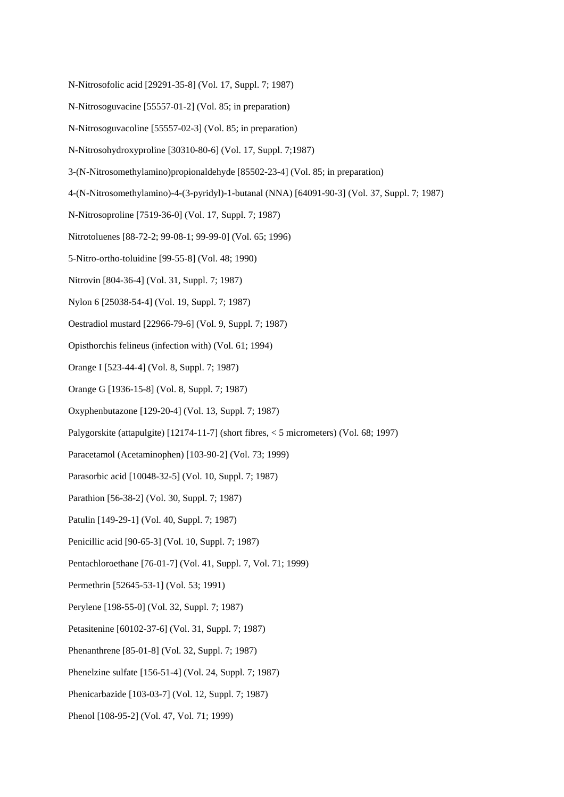- N-Nitrosofolic acid [29291-35-8] (Vol. 17, Suppl. 7; 1987)
- N-Nitrosoguvacine [55557-01-2] (Vol. 85; in preparation)
- N-Nitrosoguvacoline [55557-02-3] (Vol. 85; in preparation)
- N-Nitrosohydroxyproline [30310-80-6] (Vol. 17, Suppl. 7;1987)
- 3-(N-Nitrosomethylamino)propionaldehyde [85502-23-4] (Vol. 85; in preparation)
- 4-(N-Nitrosomethylamino)-4-(3-pyridyl)-1-butanal (NNA) [64091-90-3] (Vol. 37, Suppl. 7; 1987)
- N-Nitrosoproline [7519-36-0] (Vol. 17, Suppl. 7; 1987)
- Nitrotoluenes [88-72-2; 99-08-1; 99-99-0] (Vol. 65; 1996)
- 5-Nitro-ortho-toluidine [99-55-8] (Vol. 48; 1990)
- Nitrovin [804-36-4] (Vol. 31, Suppl. 7; 1987)
- Nylon 6 [25038-54-4] (Vol. 19, Suppl. 7; 1987)
- Oestradiol mustard [22966-79-6] (Vol. 9, Suppl. 7; 1987)
- Opisthorchis felineus (infection with) (Vol. 61; 1994)
- Orange I [523-44-4] (Vol. 8, Suppl. 7; 1987)
- Orange G [1936-15-8] (Vol. 8, Suppl. 7; 1987)
- Oxyphenbutazone [129-20-4] (Vol. 13, Suppl. 7; 1987)
- Palygorskite (attapulgite) [12174-11-7] (short fibres, < 5 micrometers) (Vol. 68; 1997)
- Paracetamol (Acetaminophen) [103-90-2] (Vol. 73; 1999)
- Parasorbic acid [10048-32-5] (Vol. 10, Suppl. 7; 1987)
- Parathion [56-38-2] (Vol. 30, Suppl. 7; 1987)
- Patulin [149-29-1] (Vol. 40, Suppl. 7; 1987)
- Penicillic acid [90-65-3] (Vol. 10, Suppl. 7; 1987)
- Pentachloroethane [76-01-7] (Vol. 41, Suppl. 7, Vol. 71; 1999)
- Permethrin [52645-53-1] (Vol. 53; 1991)
- Perylene [198-55-0] (Vol. 32, Suppl. 7; 1987)
- Petasitenine [60102-37-6] (Vol. 31, Suppl. 7; 1987)
- Phenanthrene [85-01-8] (Vol. 32, Suppl. 7; 1987)
- Phenelzine sulfate [156-51-4] (Vol. 24, Suppl. 7; 1987)
- Phenicarbazide [103-03-7] (Vol. 12, Suppl. 7; 1987)
- Phenol [108-95-2] (Vol. 47, Vol. 71; 1999)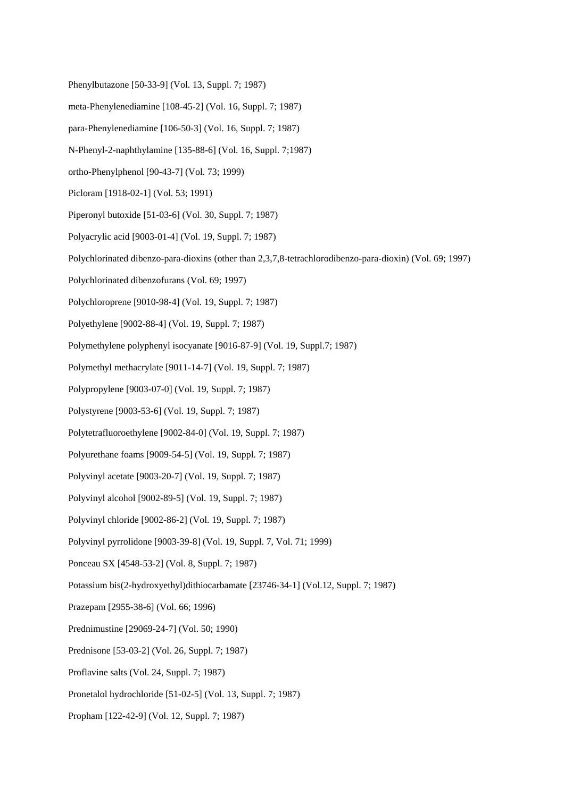- Phenylbutazone [50-33-9] (Vol. 13, Suppl. 7; 1987)
- meta-Phenylenediamine [108-45-2] (Vol. 16, Suppl. 7; 1987)
- para-Phenylenediamine [106-50-3] (Vol. 16, Suppl. 7; 1987)
- N-Phenyl-2-naphthylamine [135-88-6] (Vol. 16, Suppl. 7;1987)
- ortho-Phenylphenol [90-43-7] (Vol. 73; 1999)
- Picloram [1918-02-1] (Vol. 53; 1991)
- Piperonyl butoxide [51-03-6] (Vol. 30, Suppl. 7; 1987)
- Polyacrylic acid [9003-01-4] (Vol. 19, Suppl. 7; 1987)
- Polychlorinated dibenzo-para-dioxins (other than 2,3,7,8-tetrachlorodibenzo-para-dioxin) (Vol. 69; 1997)
- Polychlorinated dibenzofurans (Vol. 69; 1997)
- Polychloroprene [9010-98-4] (Vol. 19, Suppl. 7; 1987)
- Polyethylene [9002-88-4] (Vol. 19, Suppl. 7; 1987)
- Polymethylene polyphenyl isocyanate [9016-87-9] (Vol. 19, Suppl.7; 1987)
- Polymethyl methacrylate [9011-14-7] (Vol. 19, Suppl. 7; 1987)
- Polypropylene [9003-07-0] (Vol. 19, Suppl. 7; 1987)
- Polystyrene [9003-53-6] (Vol. 19, Suppl. 7; 1987)
- Polytetrafluoroethylene [9002-84-0] (Vol. 19, Suppl. 7; 1987)
- Polyurethane foams [9009-54-5] (Vol. 19, Suppl. 7; 1987)
- Polyvinyl acetate [9003-20-7] (Vol. 19, Suppl. 7; 1987)
- Polyvinyl alcohol [9002-89-5] (Vol. 19, Suppl. 7; 1987)
- Polyvinyl chloride [9002-86-2] (Vol. 19, Suppl. 7; 1987)
- Polyvinyl pyrrolidone [9003-39-8] (Vol. 19, Suppl. 7, Vol. 71; 1999)
- Ponceau SX [4548-53-2] (Vol. 8, Suppl. 7; 1987)
- Potassium bis(2-hydroxyethyl)dithiocarbamate [23746-34-1] (Vol.12, Suppl. 7; 1987)
- Prazepam [2955-38-6] (Vol. 66; 1996)
- Prednimustine [29069-24-7] (Vol. 50; 1990)
- Prednisone [53-03-2] (Vol. 26, Suppl. 7; 1987)
- Proflavine salts (Vol. 24, Suppl. 7; 1987)
- Pronetalol hydrochloride [51-02-5] (Vol. 13, Suppl. 7; 1987)
- Propham [122-42-9] (Vol. 12, Suppl. 7; 1987)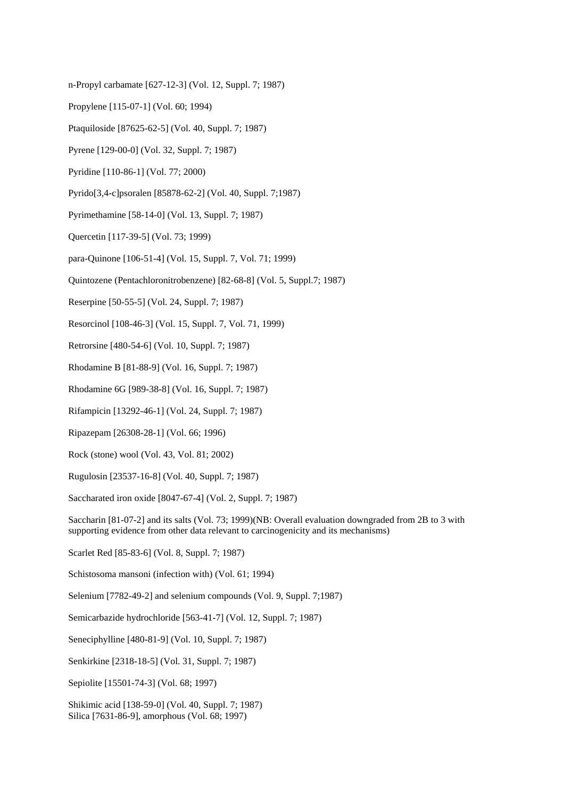- n-Propyl carbamate [627-12-3] (Vol. 12, Suppl. 7; 1987)
- Propylene [115-07-1] (Vol. 60; 1994)
- Ptaquiloside [87625-62-5] (Vol. 40, Suppl. 7; 1987)
- Pyrene [129-00-0] (Vol. 32, Suppl. 7; 1987)
- Pyridine [110-86-1] (Vol. 77; 2000)
- Pyrido[3,4-c]psoralen [85878-62-2] (Vol. 40, Suppl. 7;1987)
- Pyrimethamine [58-14-0] (Vol. 13, Suppl. 7; 1987)
- Quercetin [117-39-5] (Vol. 73; 1999)
- para-Quinone [106-51-4] (Vol. 15, Suppl. 7, Vol. 71; 1999)
- Quintozene (Pentachloronitrobenzene) [82-68-8] (Vol. 5, Suppl.7; 1987)
- Reserpine [50-55-5] (Vol. 24, Suppl. 7; 1987)
- Resorcinol [108-46-3] (Vol. 15, Suppl. 7, Vol. 71, 1999)
- Retrorsine [480-54-6] (Vol. 10, Suppl. 7; 1987)
- Rhodamine B [81-88-9] (Vol. 16, Suppl. 7; 1987)
- Rhodamine 6G [989-38-8] (Vol. 16, Suppl. 7; 1987)
- Rifampicin [13292-46-1] (Vol. 24, Suppl. 7; 1987)
- Ripazepam [26308-28-1] (Vol. 66; 1996)
- Rock (stone) wool (Vol. 43, Vol. 81; 2002)
- Rugulosin [23537-16-8] (Vol. 40, Suppl. 7; 1987)
- Saccharated iron oxide [8047-67-4] (Vol. 2, Suppl. 7; 1987)
- Saccharin [81-07-2] and its salts (Vol. 73; 1999)(NB: Overall evaluation downgraded from 2B to 3 with supporting evidence from other data relevant to carcinogenicity and its mechanisms)
- Scarlet Red [85-83-6] (Vol. 8, Suppl. 7; 1987)
- Schistosoma mansoni (infection with) (Vol. 61; 1994)
- Selenium [7782-49-2] and selenium compounds (Vol. 9, Suppl. 7;1987)
- Semicarbazide hydrochloride [563-41-7] (Vol. 12, Suppl. 7; 1987)
- Seneciphylline [480-81-9] (Vol. 10, Suppl. 7; 1987)
- Senkirkine [2318-18-5] (Vol. 31, Suppl. 7; 1987)
- Sepiolite [15501-74-3] (Vol. 68; 1997)
- Shikimic acid [138-59-0] (Vol. 40, Suppl. 7; 1987) Silica [7631-86-9], amorphous (Vol. 68; 1997)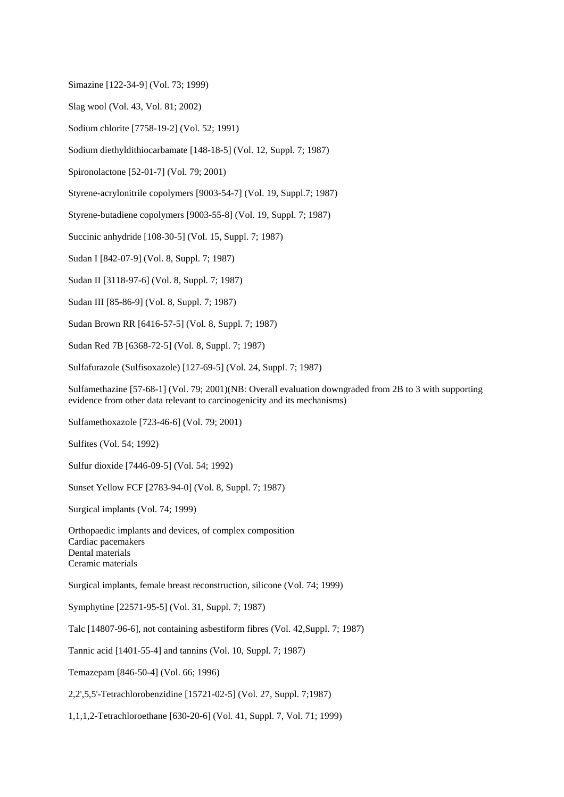Simazine [122-34-9] (Vol. 73; 1999)

Slag wool (Vol. 43, Vol. 81; 2002)

Sodium chlorite [7758-19-2] (Vol. 52; 1991)

Sodium diethyldithiocarbamate [148-18-5] (Vol. 12, Suppl. 7; 1987)

Spironolactone [52-01-7] (Vol. 79; 2001)

Styrene-acrylonitrile copolymers [9003-54-7] (Vol. 19, Suppl.7; 1987)

Styrene-butadiene copolymers [9003-55-8] (Vol. 19, Suppl. 7; 1987)

Succinic anhydride [108-30-5] (Vol. 15, Suppl. 7; 1987)

Sudan I [842-07-9] (Vol. 8, Suppl. 7; 1987)

Sudan II [3118-97-6] (Vol. 8, Suppl. 7; 1987)

Sudan III [85-86-9] (Vol. 8, Suppl. 7; 1987)

Sudan Brown RR [6416-57-5] (Vol. 8, Suppl. 7; 1987)

Sudan Red 7B [6368-72-5] (Vol. 8, Suppl. 7; 1987)

Sulfafurazole (Sulfisoxazole) [127-69-5] (Vol. 24, Suppl. 7; 1987)

Sulfamethazine [57-68-1] (Vol. 79; 2001)(NB: Overall evaluation downgraded from 2B to 3 with supporting evidence from other data relevant to carcinogenicity and its mechanisms)

Sulfamethoxazole [723-46-6] (Vol. 79; 2001)

Sulfites (Vol. 54; 1992)

Sulfur dioxide [7446-09-5] (Vol. 54; 1992)

Sunset Yellow FCF [2783-94-0] (Vol. 8, Suppl. 7; 1987)

Surgical implants (Vol. 74; 1999)

Orthopaedic implants and devices, of complex composition Cardiac pacemakers Dental materials Ceramic materials

Surgical implants, female breast reconstruction, silicone (Vol. 74; 1999)

Symphytine [22571-95-5] (Vol. 31, Suppl. 7; 1987)

Talc [14807-96-6], not containing asbestiform fibres (Vol. 42,Suppl. 7; 1987)

Tannic acid [1401-55-4] and tannins (Vol. 10, Suppl. 7; 1987)

Temazepam [846-50-4] (Vol. 66; 1996)

2,2',5,5'-Tetrachlorobenzidine [15721-02-5] (Vol. 27, Suppl. 7;1987)

1,1,1,2-Tetrachloroethane [630-20-6] (Vol. 41, Suppl. 7, Vol. 71; 1999)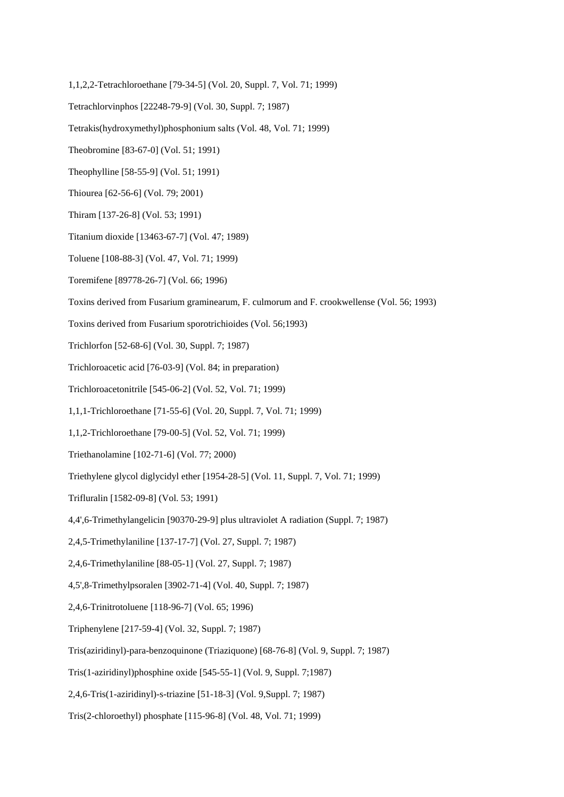- 1,1,2,2-Tetrachloroethane [79-34-5] (Vol. 20, Suppl. 7, Vol. 71; 1999)
- Tetrachlorvinphos [22248-79-9] (Vol. 30, Suppl. 7; 1987)
- Tetrakis(hydroxymethyl)phosphonium salts (Vol. 48, Vol. 71; 1999)
- Theobromine [83-67-0] (Vol. 51; 1991)
- Theophylline [58-55-9] (Vol. 51; 1991)
- Thiourea [62-56-6] (Vol. 79; 2001)
- Thiram [137-26-8] (Vol. 53; 1991)
- Titanium dioxide [13463-67-7] (Vol. 47; 1989)
- Toluene [108-88-3] (Vol. 47, Vol. 71; 1999)
- Toremifene [89778-26-7] (Vol. 66; 1996)
- Toxins derived from Fusarium graminearum, F. culmorum and F. crookwellense (Vol. 56; 1993)
- Toxins derived from Fusarium sporotrichioides (Vol. 56;1993)
- Trichlorfon [52-68-6] (Vol. 30, Suppl. 7; 1987)
- Trichloroacetic acid [76-03-9] (Vol. 84; in preparation)
- Trichloroacetonitrile [545-06-2] (Vol. 52, Vol. 71; 1999)
- 1,1,1-Trichloroethane [71-55-6] (Vol. 20, Suppl. 7, Vol. 71; 1999)
- 1,1,2-Trichloroethane [79-00-5] (Vol. 52, Vol. 71; 1999)
- Triethanolamine [102-71-6] (Vol. 77; 2000)
- Triethylene glycol diglycidyl ether [1954-28-5] (Vol. 11, Suppl. 7, Vol. 71; 1999)
- Trifluralin [1582-09-8] (Vol. 53; 1991)
- 4,4',6-Trimethylangelicin [90370-29-9] plus ultraviolet A radiation (Suppl. 7; 1987)
- 2,4,5-Trimethylaniline [137-17-7] (Vol. 27, Suppl. 7; 1987)
- 2,4,6-Trimethylaniline [88-05-1] (Vol. 27, Suppl. 7; 1987)
- 4,5',8-Trimethylpsoralen [3902-71-4] (Vol. 40, Suppl. 7; 1987)
- 2,4,6-Trinitrotoluene [118-96-7] (Vol. 65; 1996)
- Triphenylene [217-59-4] (Vol. 32, Suppl. 7; 1987)
- Tris(aziridinyl)-para-benzoquinone (Triaziquone) [68-76-8] (Vol. 9, Suppl. 7; 1987)
- Tris(1-aziridinyl)phosphine oxide [545-55-1] (Vol. 9, Suppl. 7;1987)
- 2,4,6-Tris(1-aziridinyl)-s-triazine [51-18-3] (Vol. 9,Suppl. 7; 1987)
- Tris(2-chloroethyl) phosphate [115-96-8] (Vol. 48, Vol. 71; 1999)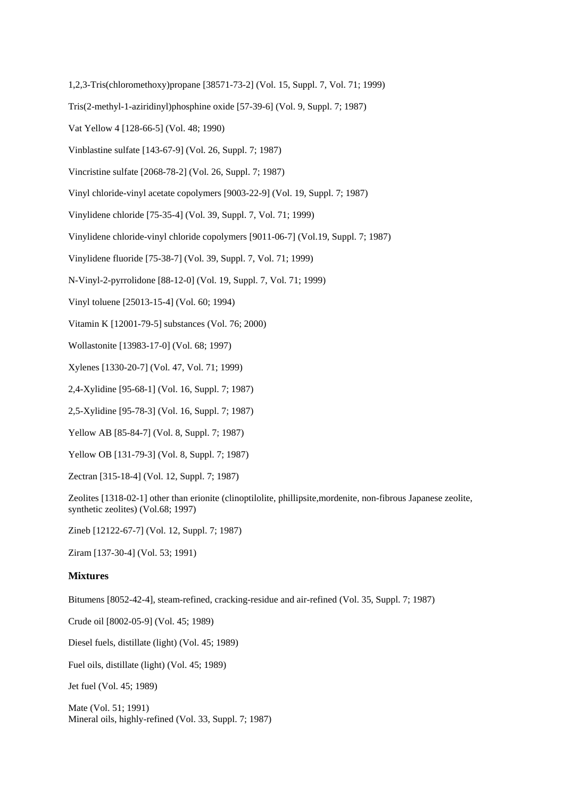- 1,2,3-Tris(chloromethoxy)propane [38571-73-2] (Vol. 15, Suppl. 7, Vol. 71; 1999)
- Tris(2-methyl-1-aziridinyl)phosphine oxide [57-39-6] (Vol. 9, Suppl. 7; 1987)
- Vat Yellow 4 [128-66-5] (Vol. 48; 1990)
- Vinblastine sulfate [143-67-9] (Vol. 26, Suppl. 7; 1987)
- Vincristine sulfate [2068-78-2] (Vol. 26, Suppl. 7; 1987)
- Vinyl chloride-vinyl acetate copolymers [9003-22-9] (Vol. 19, Suppl. 7; 1987)
- Vinylidene chloride [75-35-4] (Vol. 39, Suppl. 7, Vol. 71; 1999)
- Vinylidene chloride-vinyl chloride copolymers [9011-06-7] (Vol.19, Suppl. 7; 1987)
- Vinylidene fluoride [75-38-7] (Vol. 39, Suppl. 7, Vol. 71; 1999)
- N-Vinyl-2-pyrrolidone [88-12-0] (Vol. 19, Suppl. 7, Vol. 71; 1999)
- Vinyl toluene [25013-15-4] (Vol. 60; 1994)
- Vitamin K [12001-79-5] substances (Vol. 76; 2000)
- Wollastonite [13983-17-0] (Vol. 68; 1997)
- Xylenes [1330-20-7] (Vol. 47, Vol. 71; 1999)
- 2,4-Xylidine [95-68-1] (Vol. 16, Suppl. 7; 1987)
- 2,5-Xylidine [95-78-3] (Vol. 16, Suppl. 7; 1987)
- Yellow AB [85-84-7] (Vol. 8, Suppl. 7; 1987)
- Yellow OB [131-79-3] (Vol. 8, Suppl. 7; 1987)
- Zectran [315-18-4] (Vol. 12, Suppl. 7; 1987)
- Zeolites [1318-02-1] other than erionite (clinoptilolite, phillipsite,mordenite, non-fibrous Japanese zeolite, synthetic zeolites) (Vol.68; 1997)
- Zineb [12122-67-7] (Vol. 12, Suppl. 7; 1987)
- Ziram [137-30-4] (Vol. 53; 1991)

## **Mixtures**

Bitumens [8052-42-4], steam-refined, cracking-residue and air-refined (Vol. 35, Suppl. 7; 1987)

Crude oil [8002-05-9] (Vol. 45; 1989)

Diesel fuels, distillate (light) (Vol. 45; 1989)

Fuel oils, distillate (light) (Vol. 45; 1989)

Jet fuel (Vol. 45; 1989)

Mate (Vol. 51; 1991) Mineral oils, highly-refined (Vol. 33, Suppl. 7; 1987)